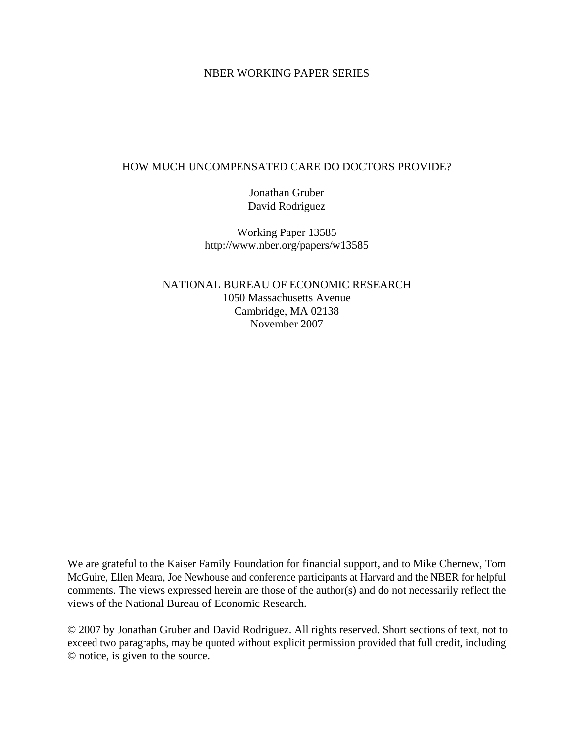# NBER WORKING PAPER SERIES

# HOW MUCH UNCOMPENSATED CARE DO DOCTORS PROVIDE?

Jonathan Gruber David Rodriguez

Working Paper 13585 http://www.nber.org/papers/w13585

NATIONAL BUREAU OF ECONOMIC RESEARCH 1050 Massachusetts Avenue Cambridge, MA 02138 November 2007

We are grateful to the Kaiser Family Foundation for financial support, and to Mike Chernew, Tom McGuire, Ellen Meara, Joe Newhouse and conference participants at Harvard and the NBER for helpful comments. The views expressed herein are those of the author(s) and do not necessarily reflect the views of the National Bureau of Economic Research.

© 2007 by Jonathan Gruber and David Rodriguez. All rights reserved. Short sections of text, not to exceed two paragraphs, may be quoted without explicit permission provided that full credit, including © notice, is given to the source.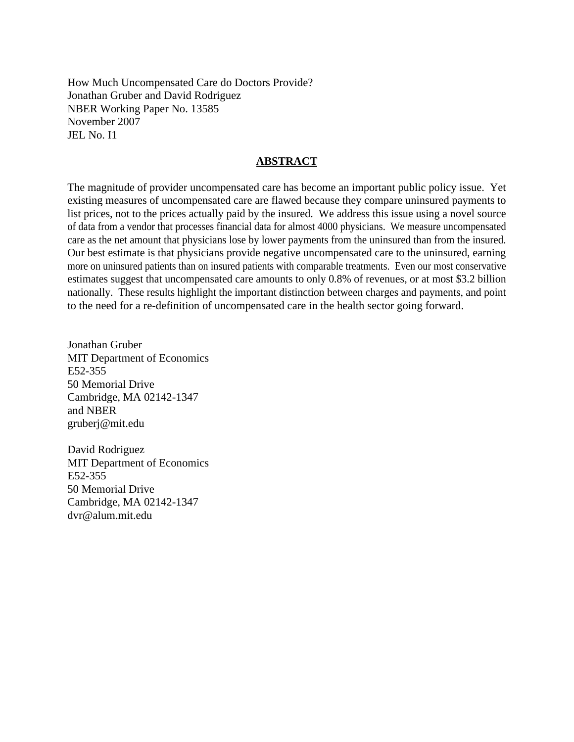How Much Uncompensated Care do Doctors Provide? Jonathan Gruber and David Rodriguez NBER Working Paper No. 13585 November 2007 JEL No. I1

# **ABSTRACT**

The magnitude of provider uncompensated care has become an important public policy issue. Yet existing measures of uncompensated care are flawed because they compare uninsured payments to list prices, not to the prices actually paid by the insured. We address this issue using a novel source of data from a vendor that processes financial data for almost 4000 physicians. We measure uncompensated care as the net amount that physicians lose by lower payments from the uninsured than from the insured. Our best estimate is that physicians provide negative uncompensated care to the uninsured, earning more on uninsured patients than on insured patients with comparable treatments. Even our most conservative estimates suggest that uncompensated care amounts to only 0.8% of revenues, or at most \$3.2 billion nationally. These results highlight the important distinction between charges and payments, and point to the need for a re-definition of uncompensated care in the health sector going forward.

Jonathan Gruber MIT Department of Economics E52-355 50 Memorial Drive Cambridge, MA 02142-1347 and NBER gruberj@mit.edu

David Rodriguez MIT Department of Economics E52-355 50 Memorial Drive Cambridge, MA 02142-1347 dvr@alum.mit.edu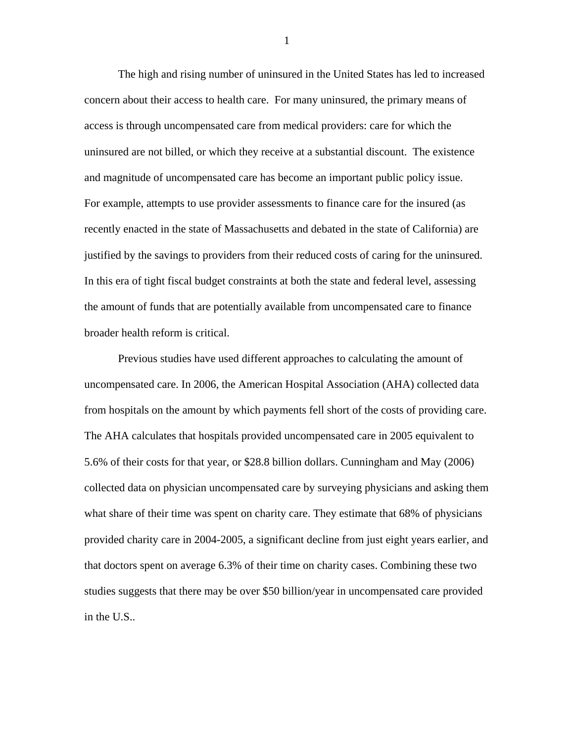The high and rising number of uninsured in the United States has led to increased concern about their access to health care. For many uninsured, the primary means of access is through uncompensated care from medical providers: care for which the uninsured are not billed, or which they receive at a substantial discount. The existence and magnitude of uncompensated care has become an important public policy issue. For example, attempts to use provider assessments to finance care for the insured (as recently enacted in the state of Massachusetts and debated in the state of California) are justified by the savings to providers from their reduced costs of caring for the uninsured. In this era of tight fiscal budget constraints at both the state and federal level, assessing the amount of funds that are potentially available from uncompensated care to finance broader health reform is critical.

 Previous studies have used different approaches to calculating the amount of uncompensated care. In 2006, the American Hospital Association (AHA) collected data from hospitals on the amount by which payments fell short of the costs of providing care. The AHA calculates that hospitals provided uncompensated care in 2005 equivalent to 5.6% of their costs for that year, or \$28.8 billion dollars. Cunningham and May (2006) collected data on physician uncompensated care by surveying physicians and asking them what share of their time was spent on charity care. They estimate that 68% of physicians provided charity care in 2004-2005, a significant decline from just eight years earlier, and that doctors spent on average 6.3% of their time on charity cases. Combining these two studies suggests that there may be over \$50 billion/year in uncompensated care provided in the U.S..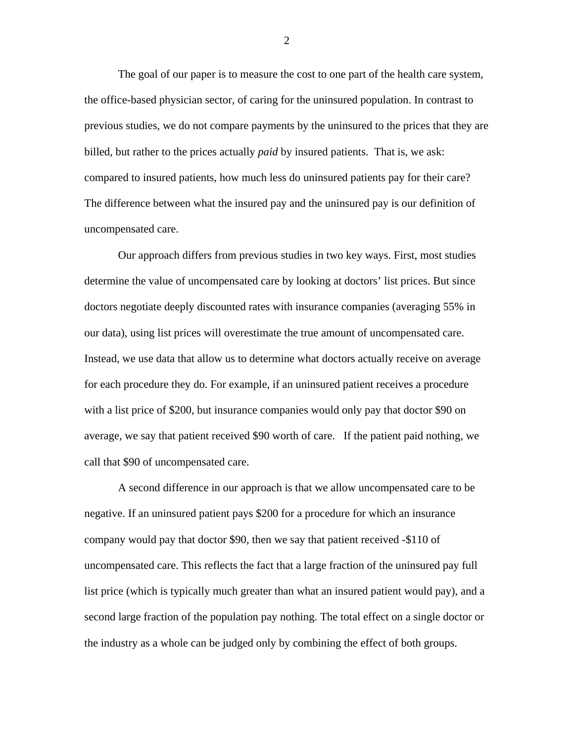The goal of our paper is to measure the cost to one part of the health care system, the office-based physician sector, of caring for the uninsured population. In contrast to previous studies, we do not compare payments by the uninsured to the prices that they are billed, but rather to the prices actually *paid* by insured patients. That is, we ask: compared to insured patients, how much less do uninsured patients pay for their care? The difference between what the insured pay and the uninsured pay is our definition of uncompensated care.

 Our approach differs from previous studies in two key ways. First, most studies determine the value of uncompensated care by looking at doctors' list prices. But since doctors negotiate deeply discounted rates with insurance companies (averaging 55% in our data), using list prices will overestimate the true amount of uncompensated care. Instead, we use data that allow us to determine what doctors actually receive on average for each procedure they do. For example, if an uninsured patient receives a procedure with a list price of \$200, but insurance companies would only pay that doctor \$90 on average, we say that patient received \$90 worth of care. If the patient paid nothing, we call that \$90 of uncompensated care.

 A second difference in our approach is that we allow uncompensated care to be negative. If an uninsured patient pays \$200 for a procedure for which an insurance company would pay that doctor \$90, then we say that patient received -\$110 of uncompensated care. This reflects the fact that a large fraction of the uninsured pay full list price (which is typically much greater than what an insured patient would pay), and a second large fraction of the population pay nothing. The total effect on a single doctor or the industry as a whole can be judged only by combining the effect of both groups.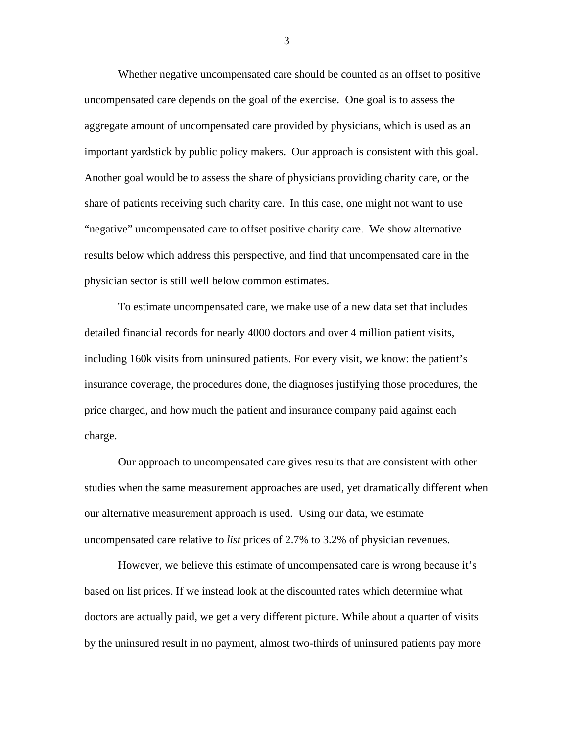Whether negative uncompensated care should be counted as an offset to positive uncompensated care depends on the goal of the exercise. One goal is to assess the aggregate amount of uncompensated care provided by physicians, which is used as an important yardstick by public policy makers. Our approach is consistent with this goal. Another goal would be to assess the share of physicians providing charity care, or the share of patients receiving such charity care. In this case, one might not want to use "negative" uncompensated care to offset positive charity care. We show alternative results below which address this perspective, and find that uncompensated care in the physician sector is still well below common estimates.

To estimate uncompensated care, we make use of a new data set that includes detailed financial records for nearly 4000 doctors and over 4 million patient visits, including 160k visits from uninsured patients. For every visit, we know: the patient's insurance coverage, the procedures done, the diagnoses justifying those procedures, the price charged, and how much the patient and insurance company paid against each charge.

 Our approach to uncompensated care gives results that are consistent with other studies when the same measurement approaches are used, yet dramatically different when our alternative measurement approach is used. Using our data, we estimate uncompensated care relative to *list* prices of 2.7% to 3.2% of physician revenues.

However, we believe this estimate of uncompensated care is wrong because it's based on list prices. If we instead look at the discounted rates which determine what doctors are actually paid, we get a very different picture. While about a quarter of visits by the uninsured result in no payment, almost two-thirds of uninsured patients pay more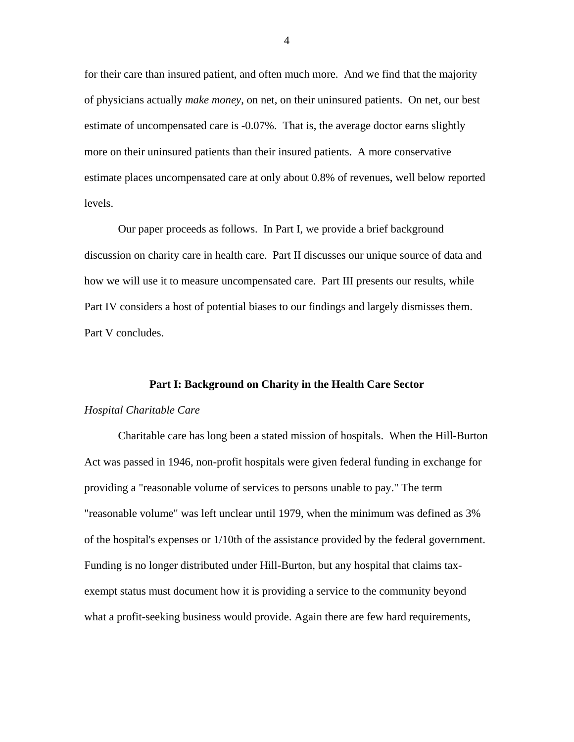for their care than insured patient, and often much more. And we find that the majority of physicians actually *make money*, on net, on their uninsured patients. On net, our best estimate of uncompensated care is -0.07%. That is, the average doctor earns slightly more on their uninsured patients than their insured patients. A more conservative estimate places uncompensated care at only about 0.8% of revenues, well below reported levels.

Our paper proceeds as follows. In Part I, we provide a brief background discussion on charity care in health care. Part II discusses our unique source of data and how we will use it to measure uncompensated care. Part III presents our results, while Part IV considers a host of potential biases to our findings and largely dismisses them. Part V concludes.

## **Part I: Background on Charity in the Health Care Sector**

#### *Hospital Charitable Care*

 Charitable care has long been a stated mission of hospitals. When the Hill-Burton Act was passed in 1946, non-profit hospitals were given federal funding in exchange for providing a "reasonable volume of services to persons unable to pay." The term "reasonable volume" was left unclear until 1979, when the minimum was defined as 3% of the hospital's expenses or 1/10th of the assistance provided by the federal government. Funding is no longer distributed under Hill-Burton, but any hospital that claims taxexempt status must document how it is providing a service to the community beyond what a profit-seeking business would provide. Again there are few hard requirements,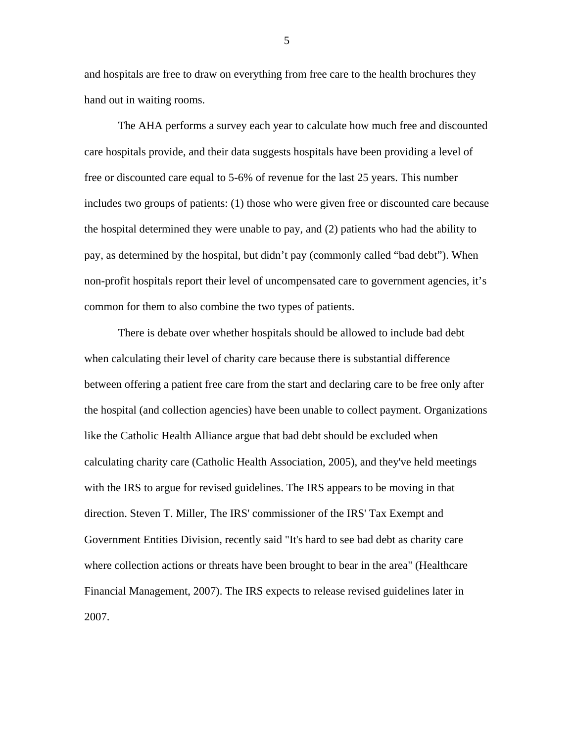and hospitals are free to draw on everything from free care to the health brochures they hand out in waiting rooms.

 The AHA performs a survey each year to calculate how much free and discounted care hospitals provide, and their data suggests hospitals have been providing a level of free or discounted care equal to 5-6% of revenue for the last 25 years. This number includes two groups of patients: (1) those who were given free or discounted care because the hospital determined they were unable to pay, and (2) patients who had the ability to pay, as determined by the hospital, but didn't pay (commonly called "bad debt"). When non-profit hospitals report their level of uncompensated care to government agencies, it's common for them to also combine the two types of patients.

 There is debate over whether hospitals should be allowed to include bad debt when calculating their level of charity care because there is substantial difference between offering a patient free care from the start and declaring care to be free only after the hospital (and collection agencies) have been unable to collect payment. Organizations like the Catholic Health Alliance argue that bad debt should be excluded when calculating charity care (Catholic Health Association, 2005), and they've held meetings with the IRS to argue for revised guidelines. The IRS appears to be moving in that direction. Steven T. Miller, The IRS' commissioner of the IRS' Tax Exempt and Government Entities Division, recently said "It's hard to see bad debt as charity care where collection actions or threats have been brought to bear in the area" (Healthcare Financial Management, 2007). The IRS expects to release revised guidelines later in 2007.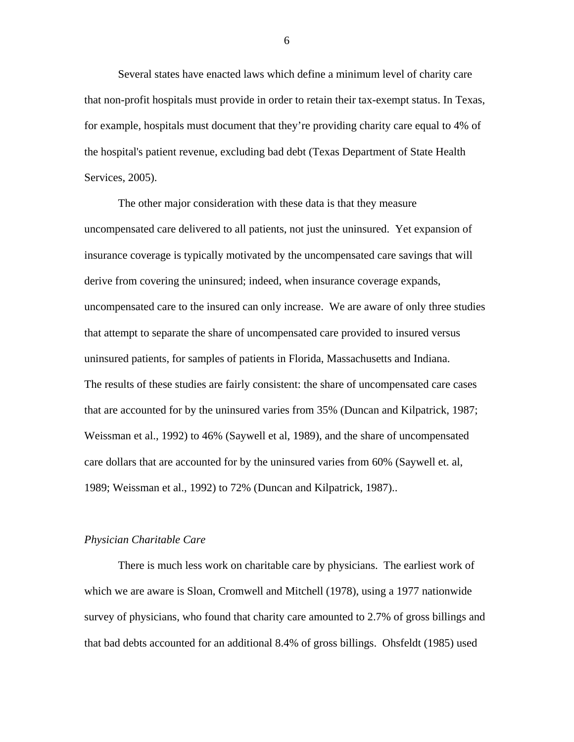Several states have enacted laws which define a minimum level of charity care that non-profit hospitals must provide in order to retain their tax-exempt status. In Texas, for example, hospitals must document that they're providing charity care equal to 4% of the hospital's patient revenue, excluding bad debt (Texas Department of State Health Services, 2005).

 The other major consideration with these data is that they measure uncompensated care delivered to all patients, not just the uninsured. Yet expansion of insurance coverage is typically motivated by the uncompensated care savings that will derive from covering the uninsured; indeed, when insurance coverage expands, uncompensated care to the insured can only increase. We are aware of only three studies that attempt to separate the share of uncompensated care provided to insured versus uninsured patients, for samples of patients in Florida, Massachusetts and Indiana. The results of these studies are fairly consistent: the share of uncompensated care cases that are accounted for by the uninsured varies from 35% (Duncan and Kilpatrick, 1987; Weissman et al., 1992) to 46% (Saywell et al, 1989), and the share of uncompensated care dollars that are accounted for by the uninsured varies from 60% (Saywell et. al, 1989; Weissman et al., 1992) to 72% (Duncan and Kilpatrick, 1987)..

#### *Physician Charitable Care*

 There is much less work on charitable care by physicians. The earliest work of which we are aware is Sloan, Cromwell and Mitchell (1978), using a 1977 nationwide survey of physicians, who found that charity care amounted to 2.7% of gross billings and that bad debts accounted for an additional 8.4% of gross billings. Ohsfeldt (1985) used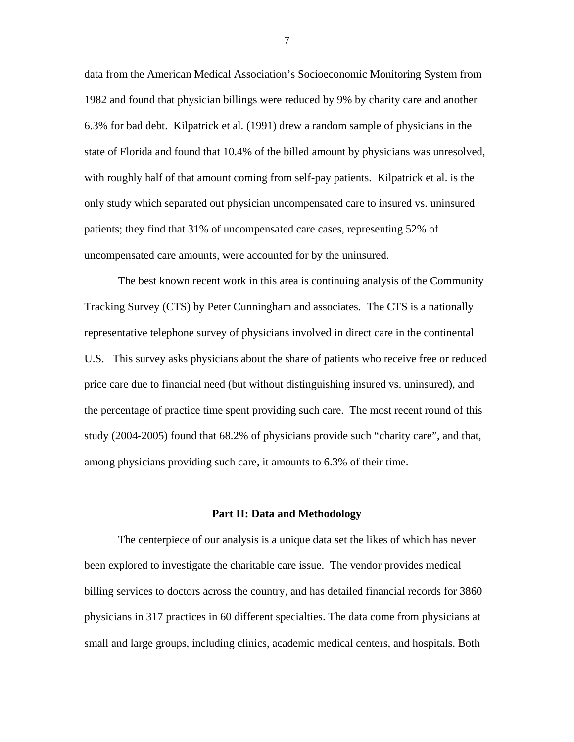data from the American Medical Association's Socioeconomic Monitoring System from 1982 and found that physician billings were reduced by 9% by charity care and another 6.3% for bad debt. Kilpatrick et al. (1991) drew a random sample of physicians in the state of Florida and found that 10.4% of the billed amount by physicians was unresolved, with roughly half of that amount coming from self-pay patients. Kilpatrick et al. is the only study which separated out physician uncompensated care to insured vs. uninsured patients; they find that 31% of uncompensated care cases, representing 52% of uncompensated care amounts, were accounted for by the uninsured.

 The best known recent work in this area is continuing analysis of the Community Tracking Survey (CTS) by Peter Cunningham and associates. The CTS is a nationally representative telephone survey of physicians involved in direct care in the continental U.S. This survey asks physicians about the share of patients who receive free or reduced price care due to financial need (but without distinguishing insured vs. uninsured), and the percentage of practice time spent providing such care. The most recent round of this study (2004-2005) found that 68.2% of physicians provide such "charity care", and that, among physicians providing such care, it amounts to 6.3% of their time.

#### **Part II: Data and Methodology**

 The centerpiece of our analysis is a unique data set the likes of which has never been explored to investigate the charitable care issue. The vendor provides medical billing services to doctors across the country, and has detailed financial records for 3860 physicians in 317 practices in 60 different specialties. The data come from physicians at small and large groups, including clinics, academic medical centers, and hospitals. Both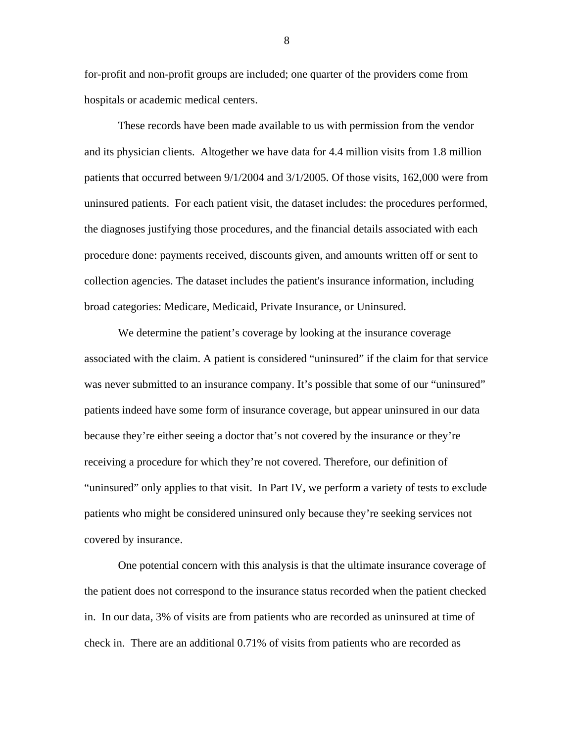for-profit and non-profit groups are included; one quarter of the providers come from hospitals or academic medical centers.

These records have been made available to us with permission from the vendor and its physician clients. Altogether we have data for 4.4 million visits from 1.8 million patients that occurred between 9/1/2004 and 3/1/2005. Of those visits, 162,000 were from uninsured patients. For each patient visit, the dataset includes: the procedures performed, the diagnoses justifying those procedures, and the financial details associated with each procedure done: payments received, discounts given, and amounts written off or sent to collection agencies. The dataset includes the patient's insurance information, including broad categories: Medicare, Medicaid, Private Insurance, or Uninsured.

We determine the patient's coverage by looking at the insurance coverage associated with the claim. A patient is considered "uninsured" if the claim for that service was never submitted to an insurance company. It's possible that some of our "uninsured" patients indeed have some form of insurance coverage, but appear uninsured in our data because they're either seeing a doctor that's not covered by the insurance or they're receiving a procedure for which they're not covered. Therefore, our definition of "uninsured" only applies to that visit. In Part IV, we perform a variety of tests to exclude patients who might be considered uninsured only because they're seeking services not covered by insurance.

 One potential concern with this analysis is that the ultimate insurance coverage of the patient does not correspond to the insurance status recorded when the patient checked in. In our data, 3% of visits are from patients who are recorded as uninsured at time of check in. There are an additional 0.71% of visits from patients who are recorded as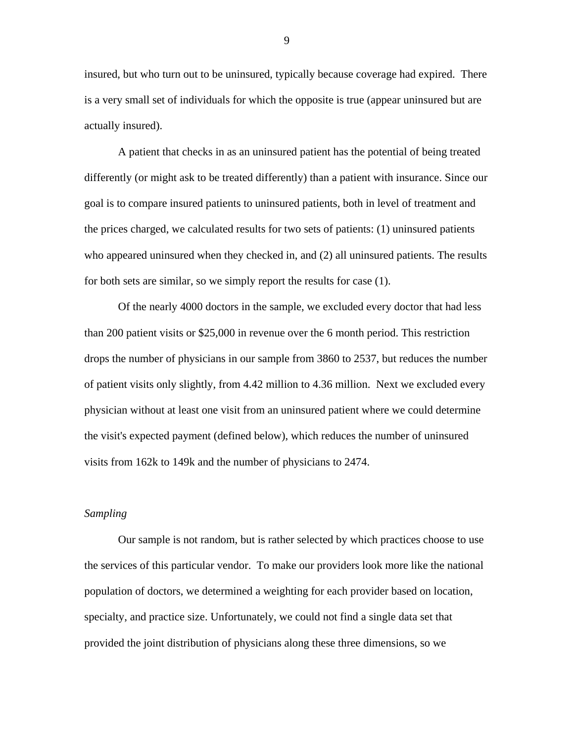insured, but who turn out to be uninsured, typically because coverage had expired. There is a very small set of individuals for which the opposite is true (appear uninsured but are actually insured).

 A patient that checks in as an uninsured patient has the potential of being treated differently (or might ask to be treated differently) than a patient with insurance. Since our goal is to compare insured patients to uninsured patients, both in level of treatment and the prices charged, we calculated results for two sets of patients: (1) uninsured patients who appeared uninsured when they checked in, and (2) all uninsured patients. The results for both sets are similar, so we simply report the results for case (1).

Of the nearly 4000 doctors in the sample, we excluded every doctor that had less than 200 patient visits or \$25,000 in revenue over the 6 month period. This restriction drops the number of physicians in our sample from 3860 to 2537, but reduces the number of patient visits only slightly, from 4.42 million to 4.36 million. Next we excluded every physician without at least one visit from an uninsured patient where we could determine the visit's expected payment (defined below), which reduces the number of uninsured visits from 162k to 149k and the number of physicians to 2474.

## *Sampling*

 Our sample is not random, but is rather selected by which practices choose to use the services of this particular vendor. To make our providers look more like the national population of doctors, we determined a weighting for each provider based on location, specialty, and practice size. Unfortunately, we could not find a single data set that provided the joint distribution of physicians along these three dimensions, so we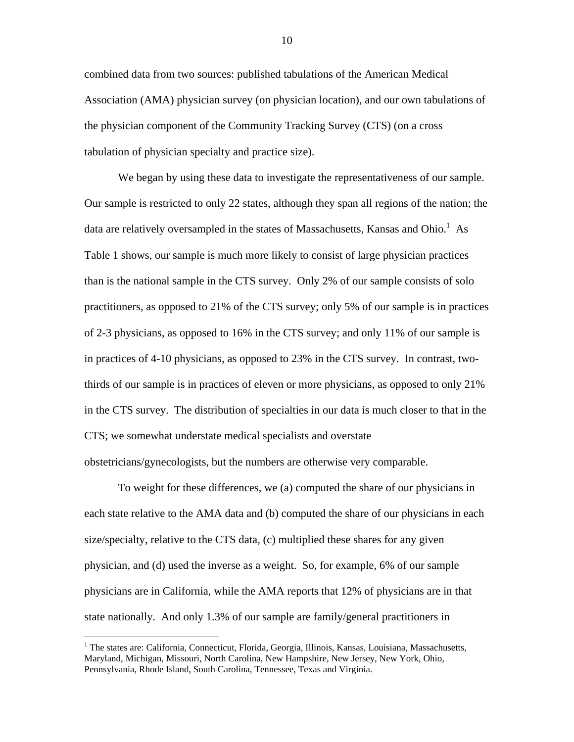combined data from two sources: published tabulations of the American Medical Association (AMA) physician survey (on physician location), and our own tabulations of the physician component of the Community Tracking Survey (CTS) (on a cross tabulation of physician specialty and practice size).

 We began by using these data to investigate the representativeness of our sample. Our sample is restricted to only 22 states, although they span all regions of the nation; the data are relatively oversampled in the states of Massachusetts, Kansas and Ohio.<sup>1</sup> As Table 1 shows, our sample is much more likely to consist of large physician practices than is the national sample in the CTS survey. Only 2% of our sample consists of solo practitioners, as opposed to 21% of the CTS survey; only 5% of our sample is in practices of 2-3 physicians, as opposed to 16% in the CTS survey; and only 11% of our sample is in practices of 4-10 physicians, as opposed to 23% in the CTS survey. In contrast, twothirds of our sample is in practices of eleven or more physicians, as opposed to only 21% in the CTS survey. The distribution of specialties in our data is much closer to that in the CTS; we somewhat understate medical specialists and overstate obstetricians/gynecologists, but the numbers are otherwise very comparable.

 To weight for these differences, we (a) computed the share of our physicians in each state relative to the AMA data and (b) computed the share of our physicians in each size/specialty, relative to the CTS data, (c) multiplied these shares for any given physician, and (d) used the inverse as a weight. So, for example, 6% of our sample physicians are in California, while the AMA reports that 12% of physicians are in that state nationally. And only 1.3% of our sample are family/general practitioners in

<sup>&</sup>lt;sup>1</sup> The states are: California, Connecticut, Florida, Georgia, Illinois, Kansas, Louisiana, Massachusetts, Maryland, Michigan, Missouri, North Carolina, New Hampshire, New Jersey, New York, Ohio, Pennsylvania, Rhode Island, South Carolina, Tennessee, Texas and Virginia.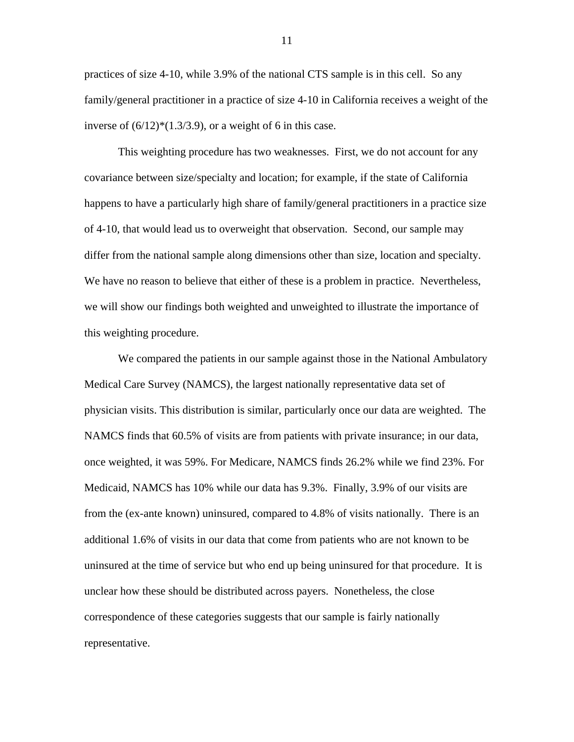practices of size 4-10, while 3.9% of the national CTS sample is in this cell. So any family/general practitioner in a practice of size 4-10 in California receives a weight of the inverse of  $(6/12)*(1.3/3.9)$ , or a weight of 6 in this case.

 This weighting procedure has two weaknesses. First, we do not account for any covariance between size/specialty and location; for example, if the state of California happens to have a particularly high share of family/general practitioners in a practice size of 4-10, that would lead us to overweight that observation. Second, our sample may differ from the national sample along dimensions other than size, location and specialty. We have no reason to believe that either of these is a problem in practice. Nevertheless, we will show our findings both weighted and unweighted to illustrate the importance of this weighting procedure.

 We compared the patients in our sample against those in the National Ambulatory Medical Care Survey (NAMCS), the largest nationally representative data set of physician visits. This distribution is similar, particularly once our data are weighted. The NAMCS finds that 60.5% of visits are from patients with private insurance; in our data, once weighted, it was 59%. For Medicare, NAMCS finds 26.2% while we find 23%. For Medicaid, NAMCS has 10% while our data has 9.3%. Finally, 3.9% of our visits are from the (ex-ante known) uninsured, compared to 4.8% of visits nationally. There is an additional 1.6% of visits in our data that come from patients who are not known to be uninsured at the time of service but who end up being uninsured for that procedure. It is unclear how these should be distributed across payers. Nonetheless, the close correspondence of these categories suggests that our sample is fairly nationally representative.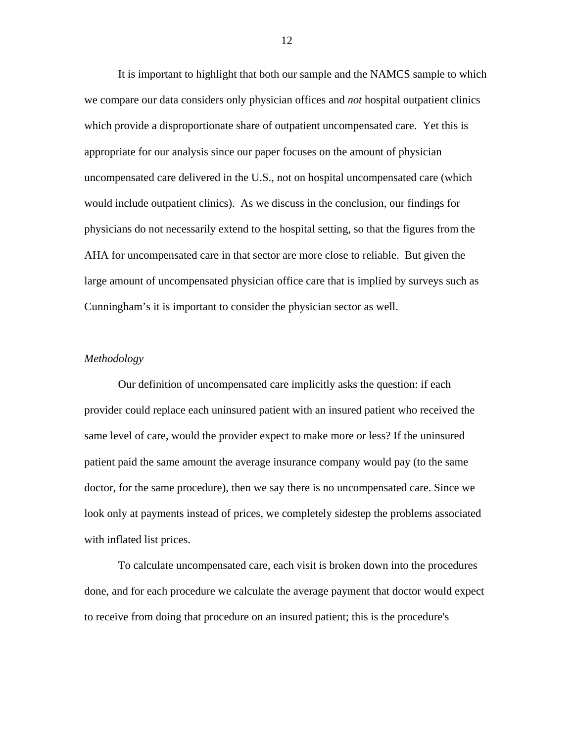It is important to highlight that both our sample and the NAMCS sample to which we compare our data considers only physician offices and *not* hospital outpatient clinics which provide a disproportionate share of outpatient uncompensated care. Yet this is appropriate for our analysis since our paper focuses on the amount of physician uncompensated care delivered in the U.S., not on hospital uncompensated care (which would include outpatient clinics). As we discuss in the conclusion, our findings for physicians do not necessarily extend to the hospital setting, so that the figures from the AHA for uncompensated care in that sector are more close to reliable. But given the large amount of uncompensated physician office care that is implied by surveys such as Cunningham's it is important to consider the physician sector as well.

### *Methodology*

 Our definition of uncompensated care implicitly asks the question: if each provider could replace each uninsured patient with an insured patient who received the same level of care, would the provider expect to make more or less? If the uninsured patient paid the same amount the average insurance company would pay (to the same doctor, for the same procedure), then we say there is no uncompensated care. Since we look only at payments instead of prices, we completely sidestep the problems associated with inflated list prices.

 To calculate uncompensated care, each visit is broken down into the procedures done, and for each procedure we calculate the average payment that doctor would expect to receive from doing that procedure on an insured patient; this is the procedure's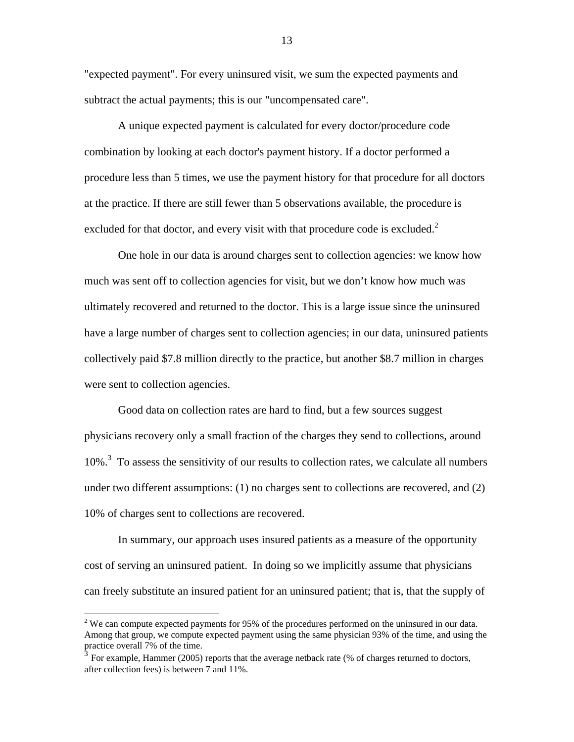"expected payment". For every uninsured visit, we sum the expected payments and subtract the actual payments; this is our "uncompensated care".

 A unique expected payment is calculated for every doctor/procedure code combination by looking at each doctor's payment history. If a doctor performed a procedure less than 5 times, we use the payment history for that procedure for all doctors at the practice. If there are still fewer than 5 observations available, the procedure is excluded for that doctor, and every visit with that procedure code is excluded. $2$ 

 One hole in our data is around charges sent to collection agencies: we know how much was sent off to collection agencies for visit, but we don't know how much was ultimately recovered and returned to the doctor. This is a large issue since the uninsured have a large number of charges sent to collection agencies; in our data, uninsured patients collectively paid \$7.8 million directly to the practice, but another \$8.7 million in charges were sent to collection agencies.

Good data on collection rates are hard to find, but a few sources suggest physicians recovery only a small fraction of the charges they send to collections, around 10%.<sup>3</sup> To assess the sensitivity of our results to collection rates, we calculate all numbers under two different assumptions: (1) no charges sent to collections are recovered, and (2) 10% of charges sent to collections are recovered.

In summary, our approach uses insured patients as a measure of the opportunity cost of serving an uninsured patient. In doing so we implicitly assume that physicians can freely substitute an insured patient for an uninsured patient; that is, that the supply of

<sup>&</sup>lt;sup>2</sup> We can compute expected payments for 95% of the procedures performed on the uninsured in our data. Among that group, we compute expected payment using the same physician 93% of the time, and using the practice overall 7% of the time.

<sup>3</sup> For example, Hammer (2005) reports that the average netback rate (% of charges returned to doctors, after collection fees) is between 7 and 11%.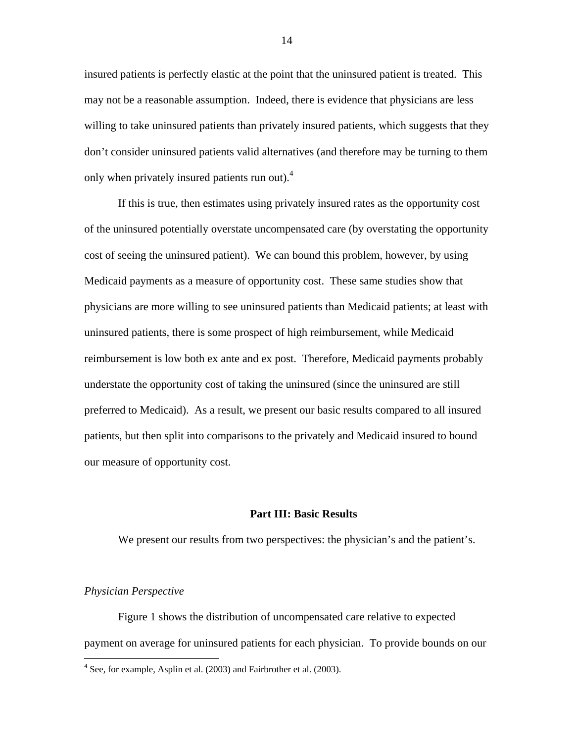insured patients is perfectly elastic at the point that the uninsured patient is treated. This may not be a reasonable assumption. Indeed, there is evidence that physicians are less willing to take uninsured patients than privately insured patients, which suggests that they don't consider uninsured patients valid alternatives (and therefore may be turning to them only when privately insured patients run out).<sup>4</sup>

If this is true, then estimates using privately insured rates as the opportunity cost of the uninsured potentially overstate uncompensated care (by overstating the opportunity cost of seeing the uninsured patient). We can bound this problem, however, by using Medicaid payments as a measure of opportunity cost. These same studies show that physicians are more willing to see uninsured patients than Medicaid patients; at least with uninsured patients, there is some prospect of high reimbursement, while Medicaid reimbursement is low both ex ante and ex post. Therefore, Medicaid payments probably understate the opportunity cost of taking the uninsured (since the uninsured are still preferred to Medicaid). As a result, we present our basic results compared to all insured patients, but then split into comparisons to the privately and Medicaid insured to bound our measure of opportunity cost.

## **Part III: Basic Results**

We present our results from two perspectives: the physician's and the patient's.

## *Physician Perspective*

 $\overline{a}$ 

 Figure 1 shows the distribution of uncompensated care relative to expected payment on average for uninsured patients for each physician. To provide bounds on our

<sup>&</sup>lt;sup>4</sup> See, for example, Asplin et al. (2003) and Fairbrother et al. (2003).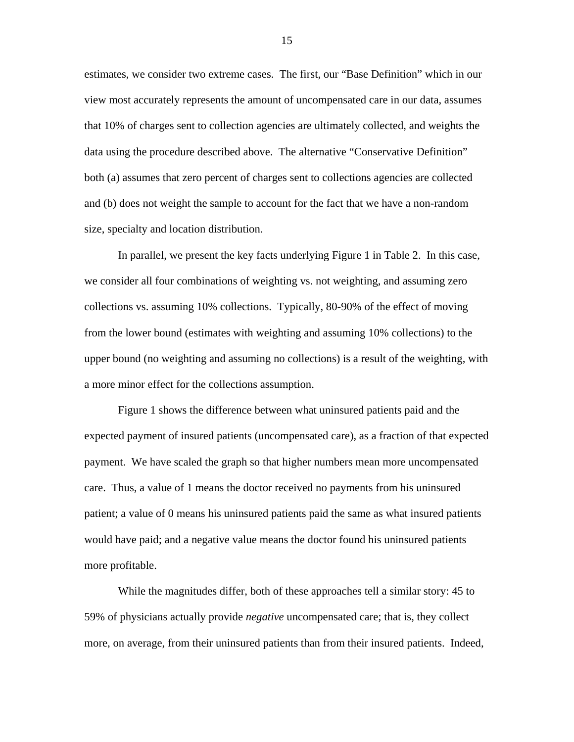estimates, we consider two extreme cases. The first, our "Base Definition" which in our view most accurately represents the amount of uncompensated care in our data, assumes that 10% of charges sent to collection agencies are ultimately collected, and weights the data using the procedure described above. The alternative "Conservative Definition" both (a) assumes that zero percent of charges sent to collections agencies are collected and (b) does not weight the sample to account for the fact that we have a non-random size, specialty and location distribution.

 In parallel, we present the key facts underlying Figure 1 in Table 2. In this case, we consider all four combinations of weighting vs. not weighting, and assuming zero collections vs. assuming 10% collections. Typically, 80-90% of the effect of moving from the lower bound (estimates with weighting and assuming 10% collections) to the upper bound (no weighting and assuming no collections) is a result of the weighting, with a more minor effect for the collections assumption.

 Figure 1 shows the difference between what uninsured patients paid and the expected payment of insured patients (uncompensated care), as a fraction of that expected payment. We have scaled the graph so that higher numbers mean more uncompensated care. Thus, a value of 1 means the doctor received no payments from his uninsured patient; a value of 0 means his uninsured patients paid the same as what insured patients would have paid; and a negative value means the doctor found his uninsured patients more profitable.

 While the magnitudes differ, both of these approaches tell a similar story: 45 to 59% of physicians actually provide *negative* uncompensated care; that is, they collect more, on average, from their uninsured patients than from their insured patients. Indeed,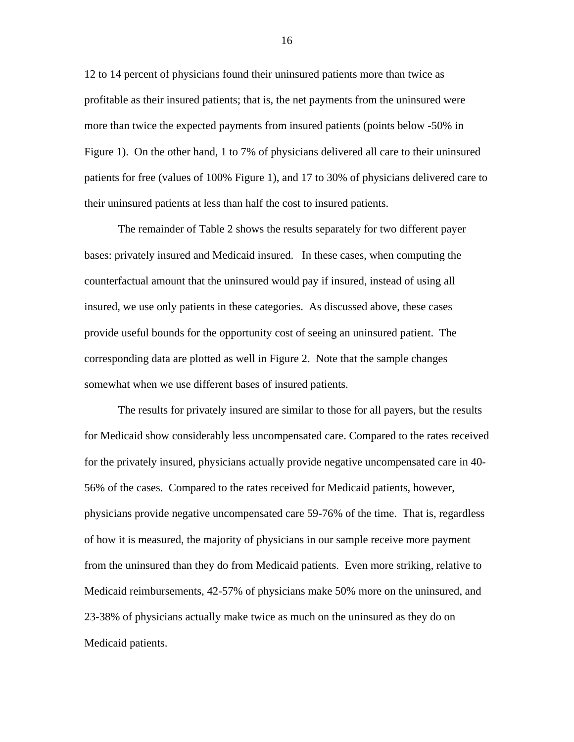12 to 14 percent of physicians found their uninsured patients more than twice as profitable as their insured patients; that is, the net payments from the uninsured were more than twice the expected payments from insured patients (points below -50% in Figure 1). On the other hand, 1 to 7% of physicians delivered all care to their uninsured patients for free (values of 100% Figure 1), and 17 to 30% of physicians delivered care to their uninsured patients at less than half the cost to insured patients.

 The remainder of Table 2 shows the results separately for two different payer bases: privately insured and Medicaid insured. In these cases, when computing the counterfactual amount that the uninsured would pay if insured, instead of using all insured, we use only patients in these categories. As discussed above, these cases provide useful bounds for the opportunity cost of seeing an uninsured patient. The corresponding data are plotted as well in Figure 2. Note that the sample changes somewhat when we use different bases of insured patients.

 The results for privately insured are similar to those for all payers, but the results for Medicaid show considerably less uncompensated care. Compared to the rates received for the privately insured, physicians actually provide negative uncompensated care in 40- 56% of the cases. Compared to the rates received for Medicaid patients, however, physicians provide negative uncompensated care 59-76% of the time. That is, regardless of how it is measured, the majority of physicians in our sample receive more payment from the uninsured than they do from Medicaid patients. Even more striking, relative to Medicaid reimbursements, 42-57% of physicians make 50% more on the uninsured, and 23-38% of physicians actually make twice as much on the uninsured as they do on Medicaid patients.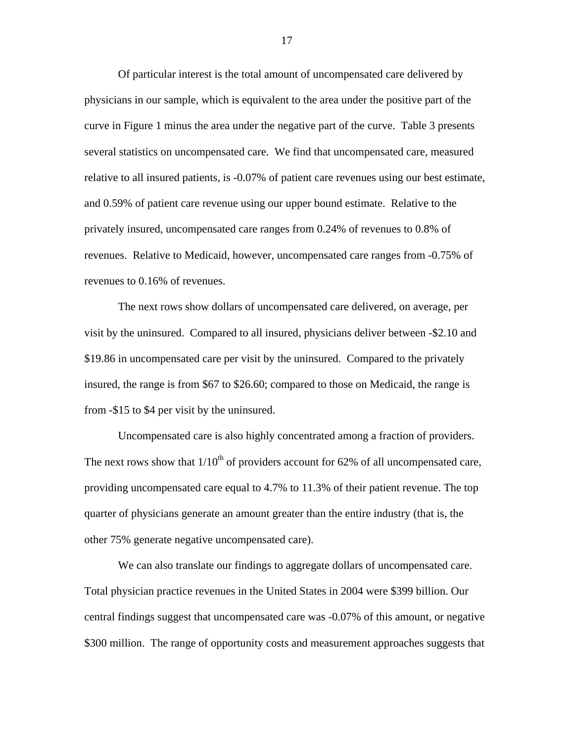Of particular interest is the total amount of uncompensated care delivered by physicians in our sample, which is equivalent to the area under the positive part of the curve in Figure 1 minus the area under the negative part of the curve. Table 3 presents several statistics on uncompensated care. We find that uncompensated care, measured relative to all insured patients, is -0.07% of patient care revenues using our best estimate, and 0.59% of patient care revenue using our upper bound estimate. Relative to the privately insured, uncompensated care ranges from 0.24% of revenues to 0.8% of revenues. Relative to Medicaid, however, uncompensated care ranges from -0.75% of revenues to 0.16% of revenues.

 The next rows show dollars of uncompensated care delivered, on average, per visit by the uninsured. Compared to all insured, physicians deliver between -\$2.10 and \$19.86 in uncompensated care per visit by the uninsured. Compared to the privately insured, the range is from \$67 to \$26.60; compared to those on Medicaid, the range is from -\$15 to \$4 per visit by the uninsured.

 Uncompensated care is also highly concentrated among a fraction of providers. The next rows show that  $1/10^{th}$  of providers account for 62% of all uncompensated care, providing uncompensated care equal to 4.7% to 11.3% of their patient revenue. The top quarter of physicians generate an amount greater than the entire industry (that is, the other 75% generate negative uncompensated care).

 We can also translate our findings to aggregate dollars of uncompensated care. Total physician practice revenues in the United States in 2004 were \$399 billion. Our central findings suggest that uncompensated care was -0.07% of this amount, or negative \$300 million. The range of opportunity costs and measurement approaches suggests that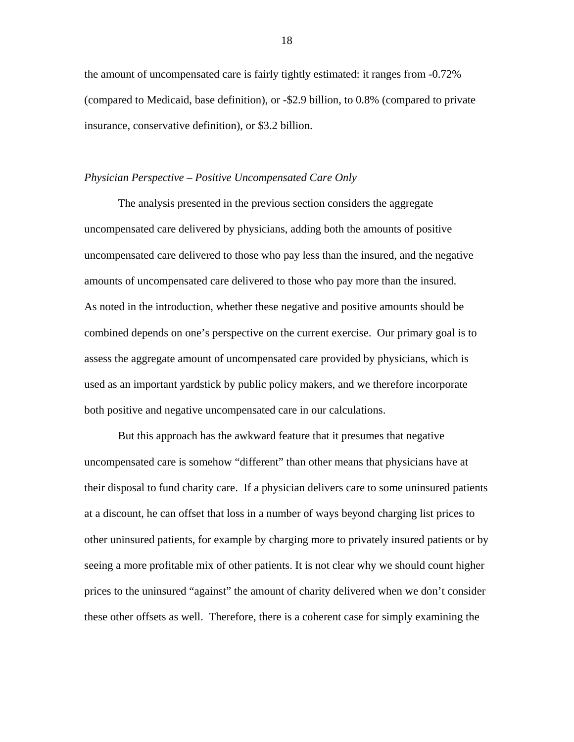the amount of uncompensated care is fairly tightly estimated: it ranges from -0.72% (compared to Medicaid, base definition), or -\$2.9 billion, to 0.8% (compared to private insurance, conservative definition), or \$3.2 billion.

#### *Physician Perspective – Positive Uncompensated Care Only*

 The analysis presented in the previous section considers the aggregate uncompensated care delivered by physicians, adding both the amounts of positive uncompensated care delivered to those who pay less than the insured, and the negative amounts of uncompensated care delivered to those who pay more than the insured. As noted in the introduction, whether these negative and positive amounts should be combined depends on one's perspective on the current exercise. Our primary goal is to assess the aggregate amount of uncompensated care provided by physicians, which is used as an important yardstick by public policy makers, and we therefore incorporate both positive and negative uncompensated care in our calculations.

 But this approach has the awkward feature that it presumes that negative uncompensated care is somehow "different" than other means that physicians have at their disposal to fund charity care. If a physician delivers care to some uninsured patients at a discount, he can offset that loss in a number of ways beyond charging list prices to other uninsured patients, for example by charging more to privately insured patients or by seeing a more profitable mix of other patients. It is not clear why we should count higher prices to the uninsured "against" the amount of charity delivered when we don't consider these other offsets as well. Therefore, there is a coherent case for simply examining the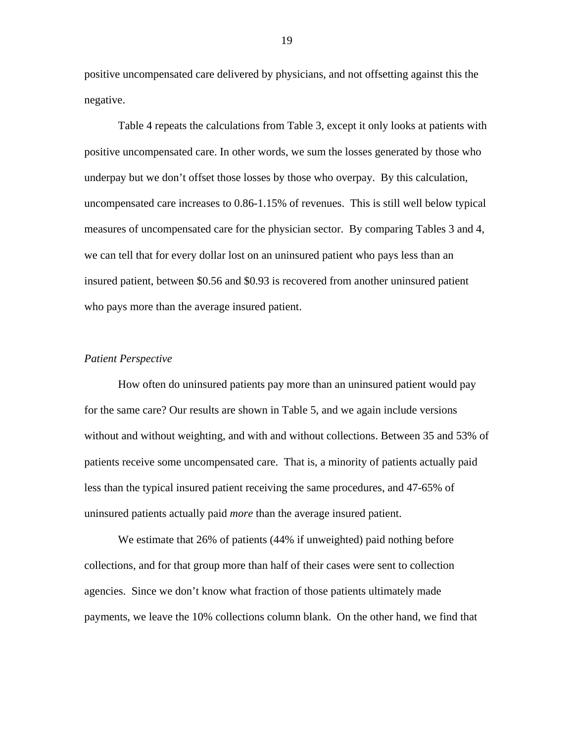positive uncompensated care delivered by physicians, and not offsetting against this the negative.

 Table 4 repeats the calculations from Table 3, except it only looks at patients with positive uncompensated care. In other words, we sum the losses generated by those who underpay but we don't offset those losses by those who overpay. By this calculation, uncompensated care increases to 0.86-1.15% of revenues. This is still well below typical measures of uncompensated care for the physician sector. By comparing Tables 3 and 4, we can tell that for every dollar lost on an uninsured patient who pays less than an insured patient, between \$0.56 and \$0.93 is recovered from another uninsured patient who pays more than the average insured patient.

## *Patient Perspective*

 How often do uninsured patients pay more than an uninsured patient would pay for the same care? Our results are shown in Table 5, and we again include versions without and without weighting, and with and without collections. Between 35 and 53% of patients receive some uncompensated care. That is, a minority of patients actually paid less than the typical insured patient receiving the same procedures, and 47-65% of uninsured patients actually paid *more* than the average insured patient.

 We estimate that 26% of patients (44% if unweighted) paid nothing before collections, and for that group more than half of their cases were sent to collection agencies. Since we don't know what fraction of those patients ultimately made payments, we leave the 10% collections column blank. On the other hand, we find that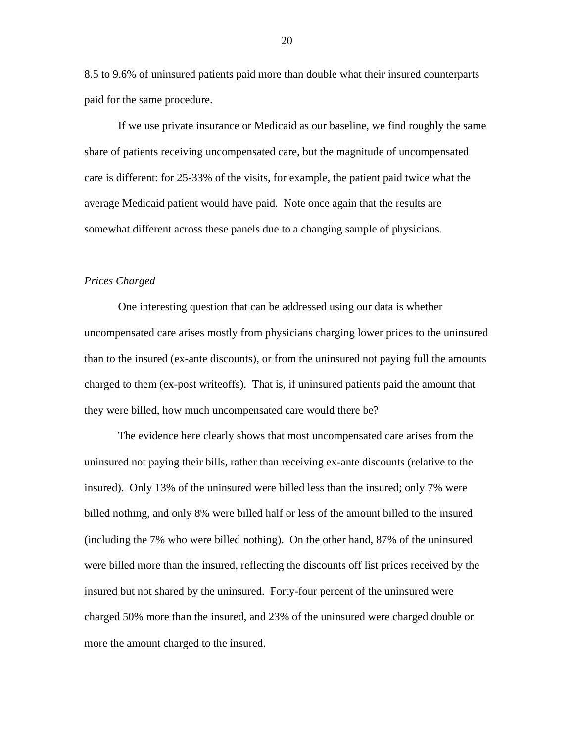8.5 to 9.6% of uninsured patients paid more than double what their insured counterparts paid for the same procedure.

If we use private insurance or Medicaid as our baseline, we find roughly the same share of patients receiving uncompensated care, but the magnitude of uncompensated care is different: for 25-33% of the visits, for example, the patient paid twice what the average Medicaid patient would have paid. Note once again that the results are somewhat different across these panels due to a changing sample of physicians.

## *Prices Charged*

 One interesting question that can be addressed using our data is whether uncompensated care arises mostly from physicians charging lower prices to the uninsured than to the insured (ex-ante discounts), or from the uninsured not paying full the amounts charged to them (ex-post writeoffs). That is, if uninsured patients paid the amount that they were billed, how much uncompensated care would there be?

 The evidence here clearly shows that most uncompensated care arises from the uninsured not paying their bills, rather than receiving ex-ante discounts (relative to the insured). Only 13% of the uninsured were billed less than the insured; only 7% were billed nothing, and only 8% were billed half or less of the amount billed to the insured (including the 7% who were billed nothing). On the other hand, 87% of the uninsured were billed more than the insured, reflecting the discounts off list prices received by the insured but not shared by the uninsured. Forty-four percent of the uninsured were charged 50% more than the insured, and 23% of the uninsured were charged double or more the amount charged to the insured.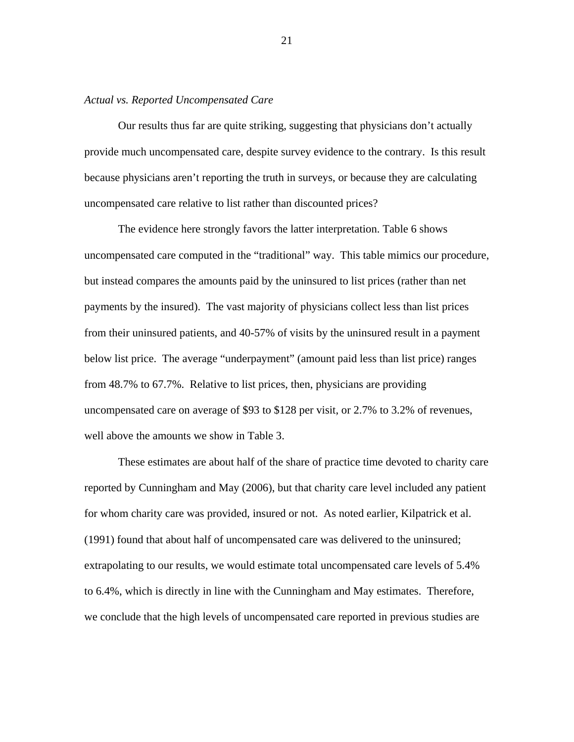## *Actual vs. Reported Uncompensated Care*

 Our results thus far are quite striking, suggesting that physicians don't actually provide much uncompensated care, despite survey evidence to the contrary. Is this result because physicians aren't reporting the truth in surveys, or because they are calculating uncompensated care relative to list rather than discounted prices?

 The evidence here strongly favors the latter interpretation. Table 6 shows uncompensated care computed in the "traditional" way. This table mimics our procedure, but instead compares the amounts paid by the uninsured to list prices (rather than net payments by the insured). The vast majority of physicians collect less than list prices from their uninsured patients, and 40-57% of visits by the uninsured result in a payment below list price. The average "underpayment" (amount paid less than list price) ranges from 48.7% to 67.7%. Relative to list prices, then, physicians are providing uncompensated care on average of \$93 to \$128 per visit, or 2.7% to 3.2% of revenues, well above the amounts we show in Table 3.

These estimates are about half of the share of practice time devoted to charity care reported by Cunningham and May (2006), but that charity care level included any patient for whom charity care was provided, insured or not. As noted earlier, Kilpatrick et al. (1991) found that about half of uncompensated care was delivered to the uninsured; extrapolating to our results, we would estimate total uncompensated care levels of 5.4% to 6.4%, which is directly in line with the Cunningham and May estimates. Therefore, we conclude that the high levels of uncompensated care reported in previous studies are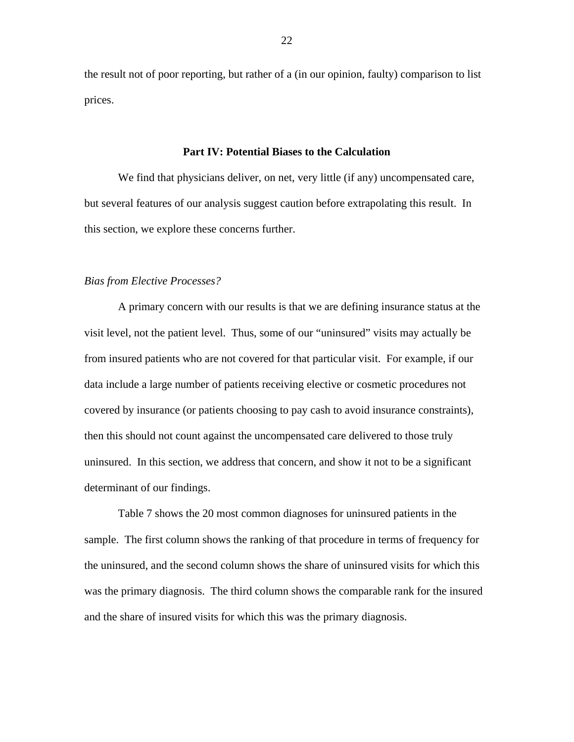the result not of poor reporting, but rather of a (in our opinion, faulty) comparison to list prices.

### **Part IV: Potential Biases to the Calculation**

We find that physicians deliver, on net, very little (if any) uncompensated care, but several features of our analysis suggest caution before extrapolating this result. In this section, we explore these concerns further.

## *Bias from Elective Processes?*

 A primary concern with our results is that we are defining insurance status at the visit level, not the patient level. Thus, some of our "uninsured" visits may actually be from insured patients who are not covered for that particular visit. For example, if our data include a large number of patients receiving elective or cosmetic procedures not covered by insurance (or patients choosing to pay cash to avoid insurance constraints), then this should not count against the uncompensated care delivered to those truly uninsured. In this section, we address that concern, and show it not to be a significant determinant of our findings.

Table 7 shows the 20 most common diagnoses for uninsured patients in the sample. The first column shows the ranking of that procedure in terms of frequency for the uninsured, and the second column shows the share of uninsured visits for which this was the primary diagnosis. The third column shows the comparable rank for the insured and the share of insured visits for which this was the primary diagnosis.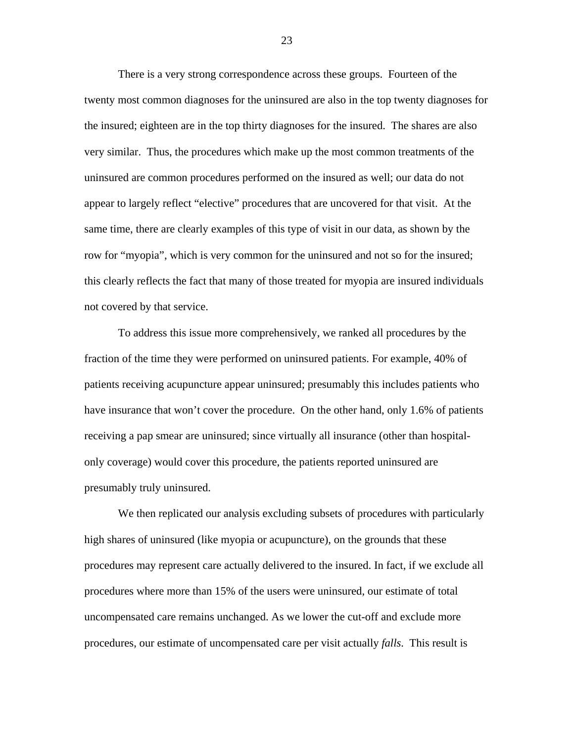There is a very strong correspondence across these groups. Fourteen of the twenty most common diagnoses for the uninsured are also in the top twenty diagnoses for the insured; eighteen are in the top thirty diagnoses for the insured. The shares are also very similar. Thus, the procedures which make up the most common treatments of the uninsured are common procedures performed on the insured as well; our data do not appear to largely reflect "elective" procedures that are uncovered for that visit. At the same time, there are clearly examples of this type of visit in our data, as shown by the row for "myopia", which is very common for the uninsured and not so for the insured; this clearly reflects the fact that many of those treated for myopia are insured individuals not covered by that service.

 To address this issue more comprehensively, we ranked all procedures by the fraction of the time they were performed on uninsured patients. For example, 40% of patients receiving acupuncture appear uninsured; presumably this includes patients who have insurance that won't cover the procedure. On the other hand, only 1.6% of patients receiving a pap smear are uninsured; since virtually all insurance (other than hospitalonly coverage) would cover this procedure, the patients reported uninsured are presumably truly uninsured.

 We then replicated our analysis excluding subsets of procedures with particularly high shares of uninsured (like myopia or acupuncture), on the grounds that these procedures may represent care actually delivered to the insured. In fact, if we exclude all procedures where more than 15% of the users were uninsured, our estimate of total uncompensated care remains unchanged. As we lower the cut-off and exclude more procedures, our estimate of uncompensated care per visit actually *falls*. This result is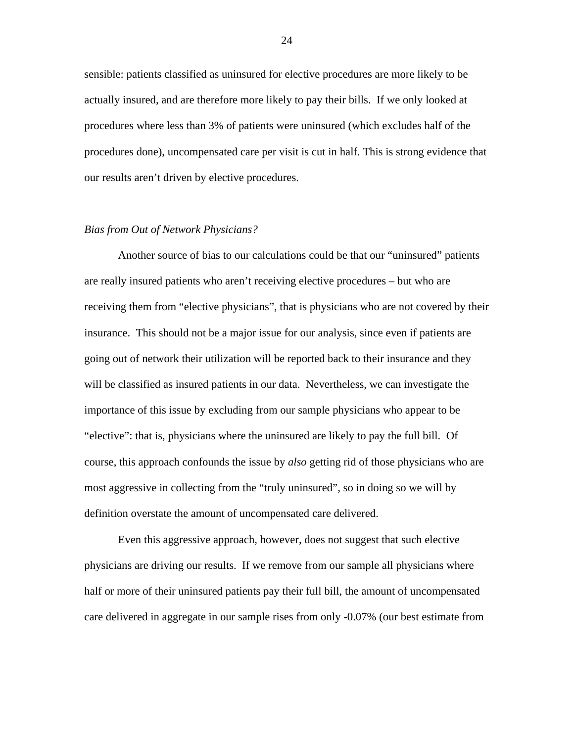sensible: patients classified as uninsured for elective procedures are more likely to be actually insured, and are therefore more likely to pay their bills. If we only looked at procedures where less than 3% of patients were uninsured (which excludes half of the procedures done), uncompensated care per visit is cut in half. This is strong evidence that our results aren't driven by elective procedures.

## *Bias from Out of Network Physicians?*

 Another source of bias to our calculations could be that our "uninsured" patients are really insured patients who aren't receiving elective procedures – but who are receiving them from "elective physicians", that is physicians who are not covered by their insurance. This should not be a major issue for our analysis, since even if patients are going out of network their utilization will be reported back to their insurance and they will be classified as insured patients in our data. Nevertheless, we can investigate the importance of this issue by excluding from our sample physicians who appear to be "elective": that is, physicians where the uninsured are likely to pay the full bill. Of course, this approach confounds the issue by *also* getting rid of those physicians who are most aggressive in collecting from the "truly uninsured", so in doing so we will by definition overstate the amount of uncompensated care delivered.

 Even this aggressive approach, however, does not suggest that such elective physicians are driving our results. If we remove from our sample all physicians where half or more of their uninsured patients pay their full bill, the amount of uncompensated care delivered in aggregate in our sample rises from only -0.07% (our best estimate from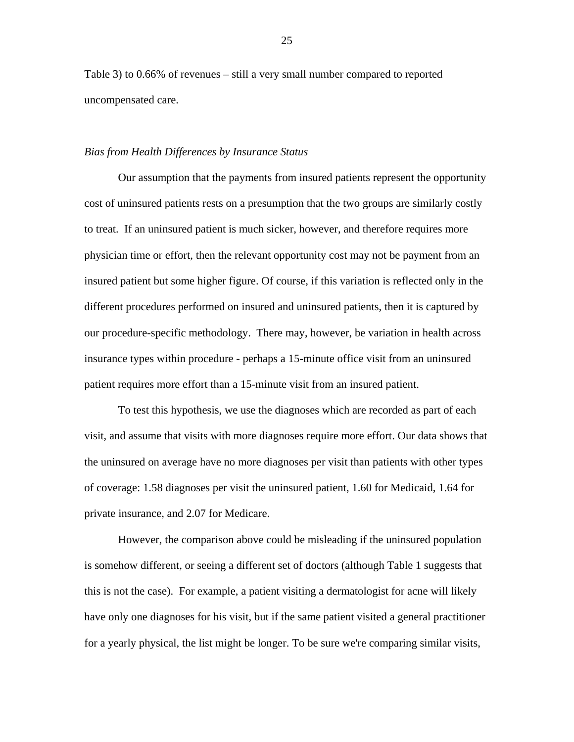Table 3) to 0.66% of revenues – still a very small number compared to reported uncompensated care.

## *Bias from Health Differences by Insurance Status*

Our assumption that the payments from insured patients represent the opportunity cost of uninsured patients rests on a presumption that the two groups are similarly costly to treat. If an uninsured patient is much sicker, however, and therefore requires more physician time or effort, then the relevant opportunity cost may not be payment from an insured patient but some higher figure. Of course, if this variation is reflected only in the different procedures performed on insured and uninsured patients, then it is captured by our procedure-specific methodology. There may, however, be variation in health across insurance types within procedure - perhaps a 15-minute office visit from an uninsured patient requires more effort than a 15-minute visit from an insured patient.

To test this hypothesis, we use the diagnoses which are recorded as part of each visit, and assume that visits with more diagnoses require more effort. Our data shows that the uninsured on average have no more diagnoses per visit than patients with other types of coverage: 1.58 diagnoses per visit the uninsured patient, 1.60 for Medicaid, 1.64 for private insurance, and 2.07 for Medicare.

However, the comparison above could be misleading if the uninsured population is somehow different, or seeing a different set of doctors (although Table 1 suggests that this is not the case). For example, a patient visiting a dermatologist for acne will likely have only one diagnoses for his visit, but if the same patient visited a general practitioner for a yearly physical, the list might be longer. To be sure we're comparing similar visits,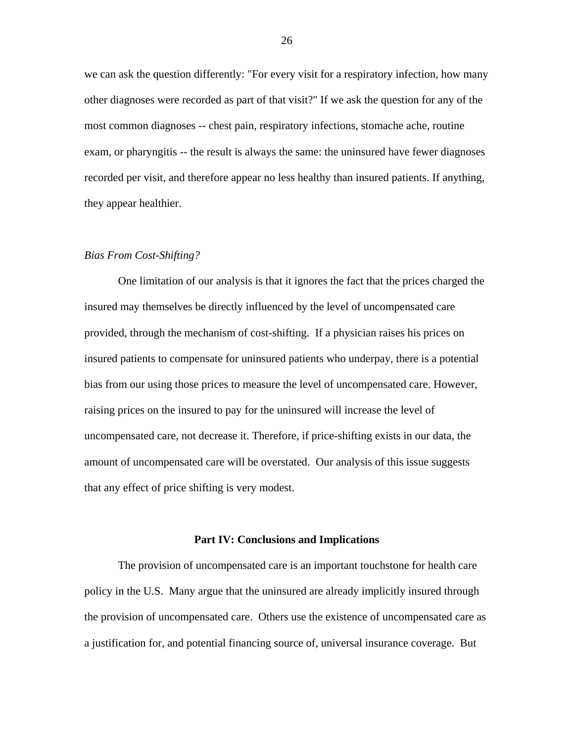we can ask the question differently: "For every visit for a respiratory infection, how many other diagnoses were recorded as part of that visit?" If we ask the question for any of the most common diagnoses -- chest pain, respiratory infections, stomache ache, routine exam, or pharyngitis -- the result is always the same: the uninsured have fewer diagnoses recorded per visit, and therefore appear no less healthy than insured patients. If anything, they appear healthier.

### *Bias From Cost-Shifting?*

 One limitation of our analysis is that it ignores the fact that the prices charged the insured may themselves be directly influenced by the level of uncompensated care provided, through the mechanism of cost-shifting. If a physician raises his prices on insured patients to compensate for uninsured patients who underpay, there is a potential bias from our using those prices to measure the level of uncompensated care. However, raising prices on the insured to pay for the uninsured will increase the level of uncompensated care, not decrease it. Therefore, if price-shifting exists in our data, the amount of uncompensated care will be overstated. Our analysis of this issue suggests that any effect of price shifting is very modest.

#### **Part IV: Conclusions and Implications**

 The provision of uncompensated care is an important touchstone for health care policy in the U.S. Many argue that the uninsured are already implicitly insured through the provision of uncompensated care. Others use the existence of uncompensated care as a justification for, and potential financing source of, universal insurance coverage. But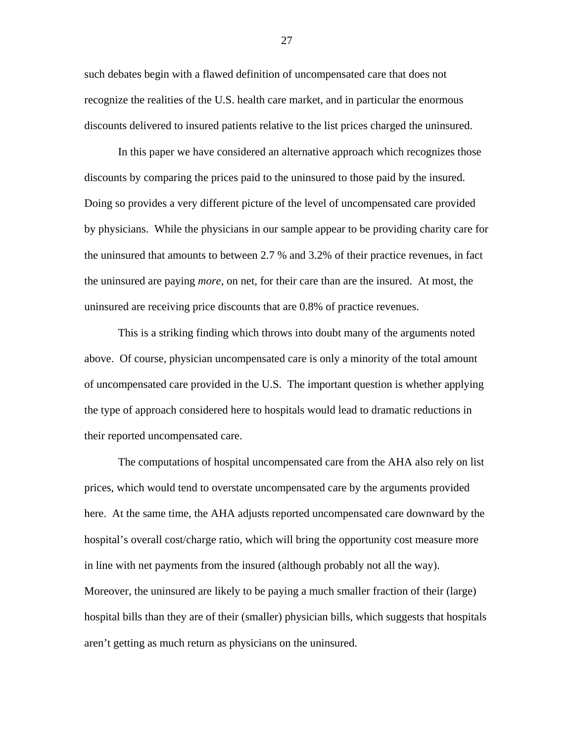such debates begin with a flawed definition of uncompensated care that does not recognize the realities of the U.S. health care market, and in particular the enormous discounts delivered to insured patients relative to the list prices charged the uninsured.

 In this paper we have considered an alternative approach which recognizes those discounts by comparing the prices paid to the uninsured to those paid by the insured. Doing so provides a very different picture of the level of uncompensated care provided by physicians. While the physicians in our sample appear to be providing charity care for the uninsured that amounts to between 2.7 % and 3.2% of their practice revenues, in fact the uninsured are paying *more*, on net, for their care than are the insured. At most, the uninsured are receiving price discounts that are 0.8% of practice revenues.

 This is a striking finding which throws into doubt many of the arguments noted above. Of course, physician uncompensated care is only a minority of the total amount of uncompensated care provided in the U.S. The important question is whether applying the type of approach considered here to hospitals would lead to dramatic reductions in their reported uncompensated care.

 The computations of hospital uncompensated care from the AHA also rely on list prices, which would tend to overstate uncompensated care by the arguments provided here. At the same time, the AHA adjusts reported uncompensated care downward by the hospital's overall cost/charge ratio, which will bring the opportunity cost measure more in line with net payments from the insured (although probably not all the way). Moreover, the uninsured are likely to be paying a much smaller fraction of their (large) hospital bills than they are of their (smaller) physician bills, which suggests that hospitals aren't getting as much return as physicians on the uninsured.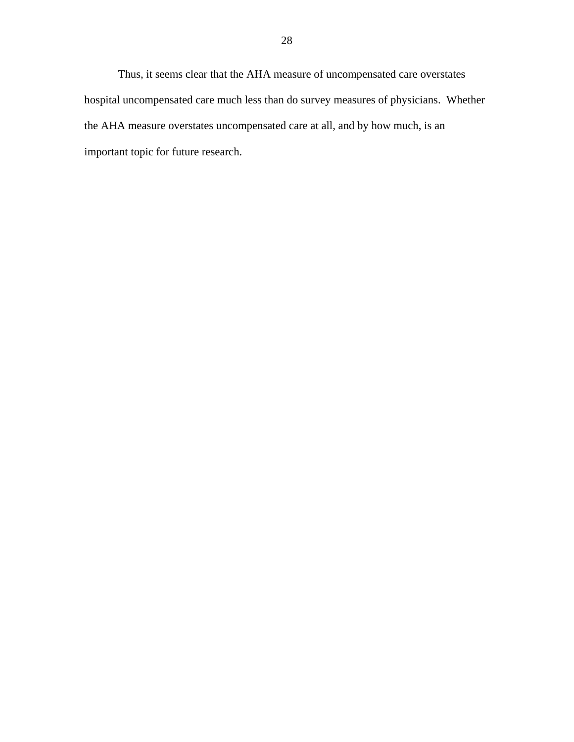Thus, it seems clear that the AHA measure of uncompensated care overstates hospital uncompensated care much less than do survey measures of physicians. Whether the AHA measure overstates uncompensated care at all, and by how much, is an important topic for future research.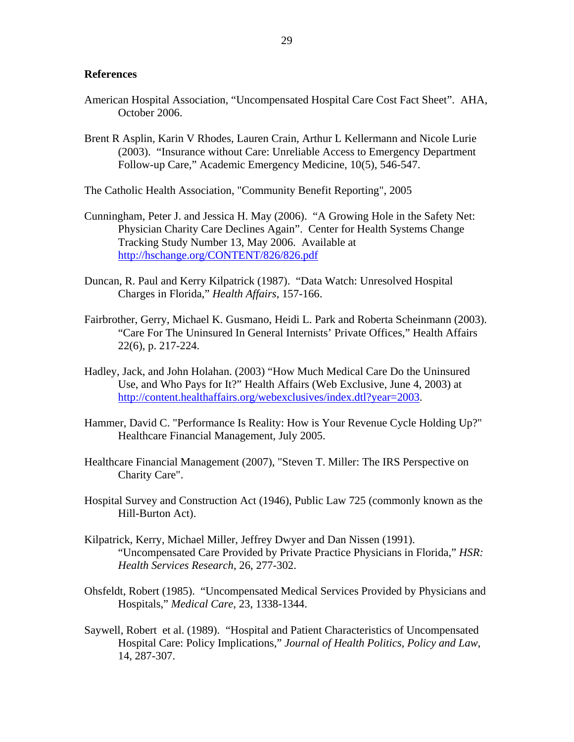## **References**

- American Hospital Association, "Uncompensated Hospital Care Cost Fact Sheet". AHA, October 2006.
- Brent R Asplin, Karin V Rhodes, Lauren Crain, Arthur L Kellermann and Nicole Lurie (2003). "Insurance without Care: Unreliable Access to Emergency Department Follow-up Care," Academic Emergency Medicine, 10(5), 546-547.

The Catholic Health Association, "Community Benefit Reporting", 2005

- Cunningham, Peter J. and Jessica H. May (2006). "A Growing Hole in the Safety Net: Physician Charity Care Declines Again". Center for Health Systems Change Tracking Study Number 13, May 2006. Available at http://hschange.org/CONTENT/826/826.pdf
- Duncan, R. Paul and Kerry Kilpatrick (1987). "Data Watch: Unresolved Hospital Charges in Florida," *Health Affairs*, 157-166.
- Fairbrother, Gerry, Michael K. Gusmano, Heidi L. Park and Roberta Scheinmann (2003). "Care For The Uninsured In General Internists' Private Offices," Health Affairs 22(6), p. 217-224.
- Hadley, Jack, and John Holahan. (2003) "How Much Medical Care Do the Uninsured Use, and Who Pays for It?" Health Affairs (Web Exclusive, June 4, 2003) at http://content.healthaffairs.org/webexclusives/index.dtl?year=2003.
- Hammer, David C. "Performance Is Reality: How is Your Revenue Cycle Holding Up?" Healthcare Financial Management, July 2005.
- Healthcare Financial Management (2007), "Steven T. Miller: The IRS Perspective on Charity Care".
- Hospital Survey and Construction Act (1946), Public Law 725 (commonly known as the Hill-Burton Act).
- Kilpatrick, Kerry, Michael Miller, Jeffrey Dwyer and Dan Nissen (1991). "Uncompensated Care Provided by Private Practice Physicians in Florida," *HSR: Health Services Research*, 26, 277-302.
- Ohsfeldt, Robert (1985). "Uncompensated Medical Services Provided by Physicians and Hospitals," *Medical Care*, 23, 1338-1344.
- Saywell, Robert et al. (1989). "Hospital and Patient Characteristics of Uncompensated Hospital Care: Policy Implications," *Journal of Health Politics, Policy and Law*, 14, 287-307.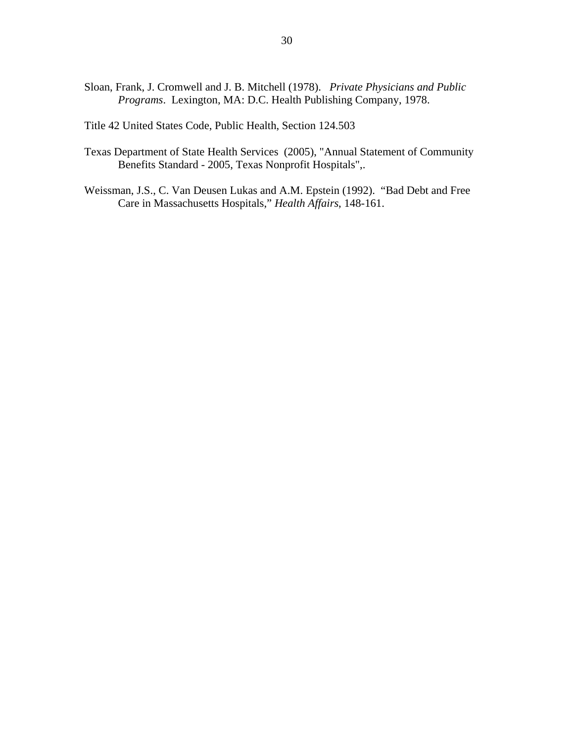- Sloan, Frank, J. Cromwell and J. B. Mitchell (1978). *Private Physicians and Public Programs*. Lexington, MA: D.C. Health Publishing Company, 1978.
- Title 42 United States Code, Public Health, Section 124.503
- Texas Department of State Health Services (2005), "Annual Statement of Community Benefits Standard - 2005, Texas Nonprofit Hospitals",.
- Weissman, J.S., C. Van Deusen Lukas and A.M. Epstein (1992). "Bad Debt and Free Care in Massachusetts Hospitals," *Health Affairs*, 148-161.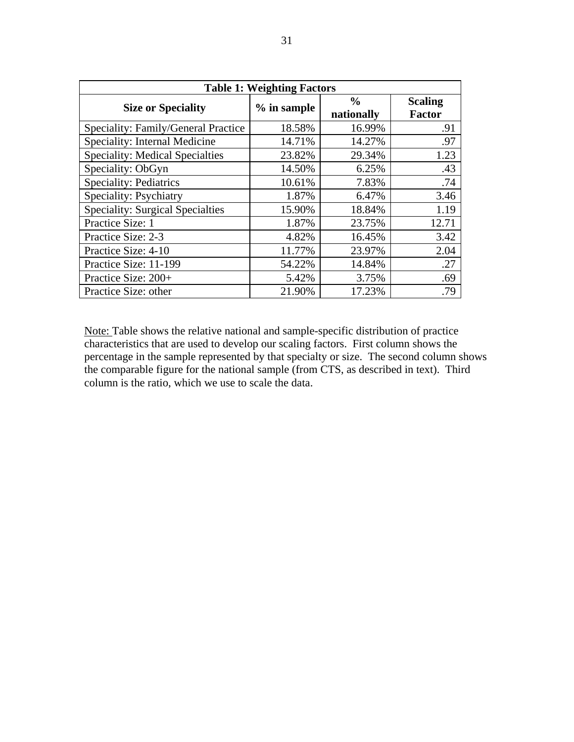| <b>Table 1: Weighting Factors</b>       |             |                             |                                 |  |  |
|-----------------------------------------|-------------|-----------------------------|---------------------------------|--|--|
| <b>Size or Speciality</b>               | % in sample | $\frac{6}{9}$<br>nationally | <b>Scaling</b><br><b>Factor</b> |  |  |
| Speciality: Family/General Practice     | 18.58%      | 16.99%                      | .91                             |  |  |
| Speciality: Internal Medicine           | 14.71%      | 14.27%                      | .97                             |  |  |
| <b>Speciality: Medical Specialties</b>  | 23.82%      | 29.34%                      | 1.23                            |  |  |
| Speciality: ObGyn                       | 14.50%      | 6.25%                       | .43                             |  |  |
| <b>Speciality: Pediatrics</b>           | 10.61%      | 7.83%                       | .74                             |  |  |
| Speciality: Psychiatry                  | 1.87%       | 6.47%                       | 3.46                            |  |  |
| <b>Speciality: Surgical Specialties</b> | 15.90%      | 18.84%                      | 1.19                            |  |  |
| Practice Size: 1                        | 1.87%       | 23.75%                      | 12.71                           |  |  |
| Practice Size: 2-3                      | 4.82%       | 16.45%                      | 3.42                            |  |  |
| Practice Size: 4-10                     | 11.77%      | 23.97%                      | 2.04                            |  |  |
| Practice Size: 11-199                   | 54.22%      | 14.84%                      | .27                             |  |  |
| Practice Size: 200+                     | 5.42%       | 3.75%                       | .69                             |  |  |
| Practice Size: other                    | 21.90%      | 17.23%                      | .79                             |  |  |

Note: Table shows the relative national and sample-specific distribution of practice characteristics that are used to develop our scaling factors. First column shows the percentage in the sample represented by that specialty or size. The second column shows the comparable figure for the national sample (from CTS, as described in text). Third column is the ratio, which we use to scale the data.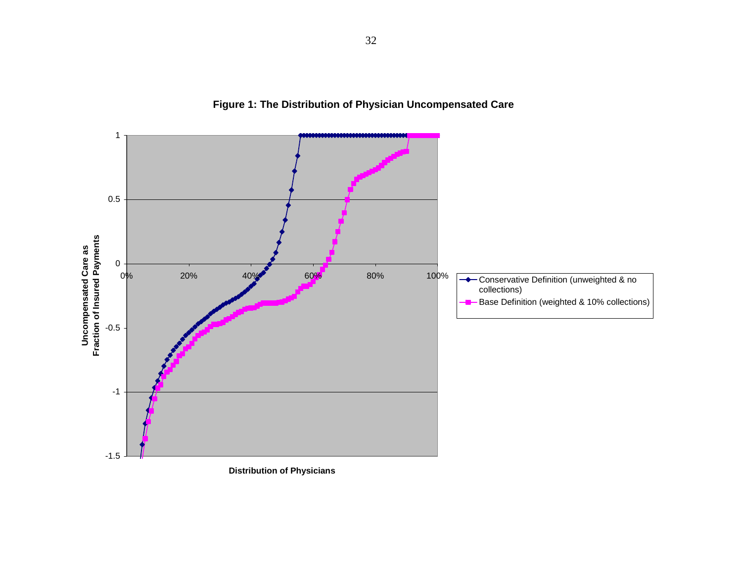

**Figure 1: The Distribution of Physician Uncompensated Care**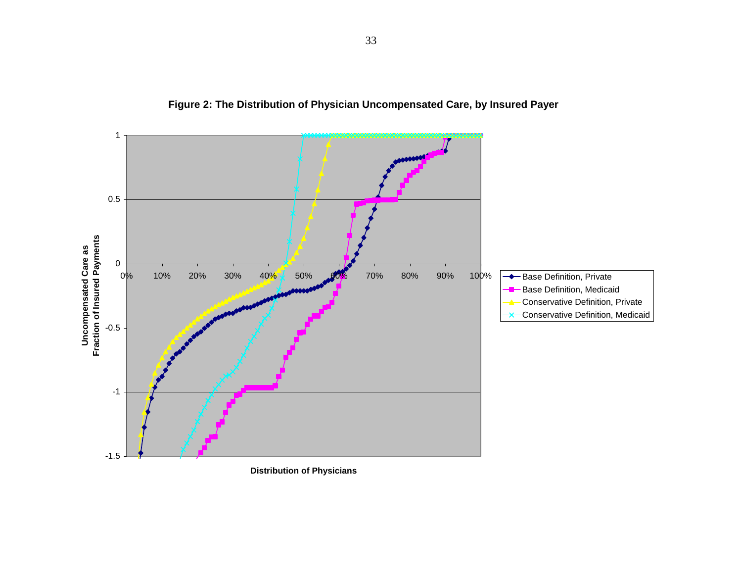

**Figure 2: The Distribution of Physician Uncompensated Care, by Insured Payer**

**Distribution of Physicians**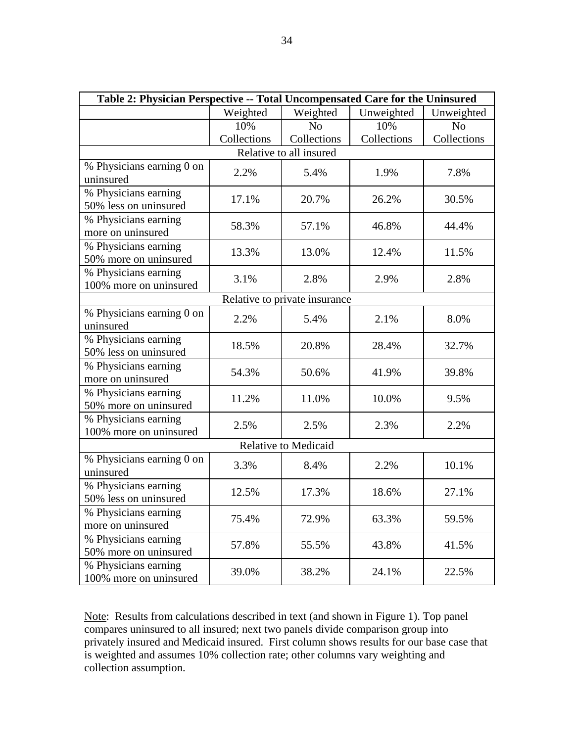| Table 2: Physician Perspective -- Total Uncompensated Care for the Uninsured |             |                                      |             |                |  |  |  |
|------------------------------------------------------------------------------|-------------|--------------------------------------|-------------|----------------|--|--|--|
|                                                                              | Weighted    | Weighted<br>Unweighted<br>Unweighted |             |                |  |  |  |
|                                                                              | 10%         | N <sub>o</sub>                       | 10%         | N <sub>o</sub> |  |  |  |
|                                                                              | Collections | Collections                          | Collections | Collections    |  |  |  |
| Relative to all insured                                                      |             |                                      |             |                |  |  |  |
| % Physicians earning 0 on<br>uninsured                                       | 2.2%        | 5.4%                                 | 1.9%        | 7.8%           |  |  |  |
| % Physicians earning<br>50% less on uninsured                                | 17.1%       | 20.7%                                | 26.2%       | 30.5%          |  |  |  |
| % Physicians earning<br>more on uninsured                                    | 58.3%       | 57.1%                                | 46.8%       | 44.4%          |  |  |  |
| % Physicians earning<br>50% more on uninsured                                | 13.3%       | 13.0%                                | 12.4%       | 11.5%          |  |  |  |
| % Physicians earning<br>100% more on uninsured                               | 3.1%        | 2.8%                                 | 2.9%        | 2.8%           |  |  |  |
|                                                                              |             | Relative to private insurance        |             |                |  |  |  |
| % Physicians earning 0 on<br>uninsured                                       | 2.2%        | 5.4%                                 | 2.1%        | 8.0%           |  |  |  |
| % Physicians earning<br>50% less on uninsured                                | 18.5%       | 20.8%                                | 28.4%       | 32.7%          |  |  |  |
| % Physicians earning<br>more on uninsured                                    | 54.3%       | 50.6%                                | 41.9%       | 39.8%          |  |  |  |
| % Physicians earning<br>50% more on uninsured                                | 11.2%       | 11.0%                                | 10.0%       | 9.5%           |  |  |  |
| % Physicians earning<br>100% more on uninsured                               | 2.5%        | 2.5%                                 | 2.3%        | 2.2%           |  |  |  |
|                                                                              |             | <b>Relative to Medicaid</b>          |             |                |  |  |  |
| % Physicians earning 0 on<br>uninsured                                       | 3.3%        | 8.4%                                 | 2.2%        | 10.1%          |  |  |  |
| % Physicians earning<br>50% less on uninsured                                | 12.5%       | 17.3%                                | 18.6%       | 27.1%          |  |  |  |
| % Physicians earning<br>more on uninsured                                    | 75.4%       | 72.9%                                | 63.3%       | 59.5%          |  |  |  |
| % Physicians earning<br>50% more on uninsured                                | 57.8%       | 55.5%                                | 43.8%       | 41.5%          |  |  |  |
| % Physicians earning<br>100% more on uninsured                               | 39.0%       | 38.2%                                | 24.1%       | 22.5%          |  |  |  |

Note: Results from calculations described in text (and shown in Figure 1). Top panel compares uninsured to all insured; next two panels divide comparison group into privately insured and Medicaid insured. First column shows results for our base case that is weighted and assumes 10% collection rate; other columns vary weighting and collection assumption.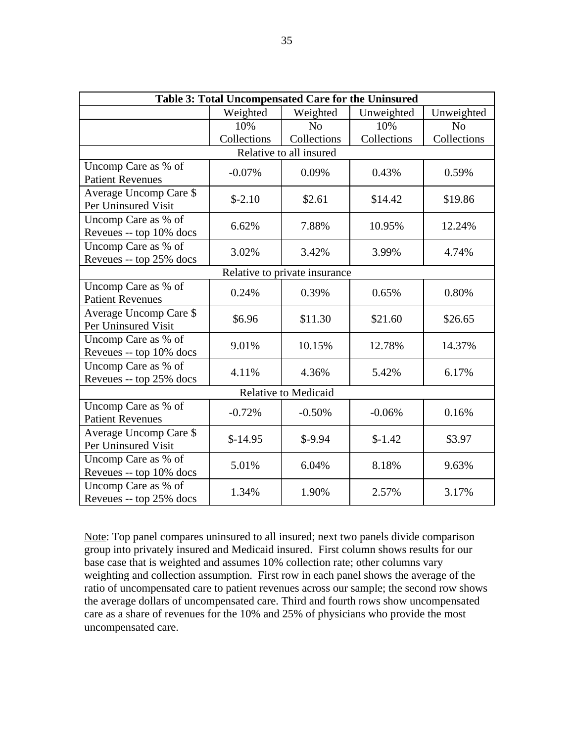| Table 3: Total Uncompensated Care for the Uninsured |             |                               |             |                |  |
|-----------------------------------------------------|-------------|-------------------------------|-------------|----------------|--|
|                                                     | Weighted    | Weighted                      | Unweighted  | Unweighted     |  |
|                                                     | 10%         | N <sub>o</sub>                | 10%         | N <sub>o</sub> |  |
|                                                     | Collections | Collections                   | Collections | Collections    |  |
|                                                     |             | Relative to all insured       |             |                |  |
| Uncomp Care as % of<br><b>Patient Revenues</b>      | $-0.07%$    | 0.09%                         | 0.43%       | 0.59%          |  |
| Average Uncomp Care \$<br>Per Uninsured Visit       | $$-2.10$    | \$2.61                        | \$14.42     | \$19.86        |  |
| Uncomp Care as % of<br>Reveues -- top 10% docs      | 6.62%       | 7.88%                         | 10.95%      | 12.24%         |  |
| Uncomp Care as % of<br>Reveues -- top 25% docs      | 3.02%       | 3.42%                         | 3.99%       | 4.74%          |  |
|                                                     |             | Relative to private insurance |             |                |  |
| Uncomp Care as % of<br><b>Patient Revenues</b>      | 0.24%       | 0.39%                         | 0.65%       | 0.80%          |  |
| Average Uncomp Care \$<br>Per Uninsured Visit       | \$6.96      | \$11.30                       | \$21.60     | \$26.65        |  |
| Uncomp Care as % of<br>Reveues -- top 10% docs      | 9.01%       | 10.15%                        | 12.78%      | 14.37%         |  |
| Uncomp Care as % of<br>Reveues -- top 25% docs      | 4.11%       | 4.36%                         | 5.42%       | 6.17%          |  |
| <b>Relative to Medicaid</b>                         |             |                               |             |                |  |
| Uncomp Care as % of<br><b>Patient Revenues</b>      | $-0.72%$    | $-0.50%$                      | $-0.06%$    | 0.16%          |  |
| Average Uncomp Care \$<br>Per Uninsured Visit       | $$-14.95$   | $$-9.94$                      | $$-1.42$    | \$3.97         |  |
| Uncomp Care as % of<br>Reveues -- top 10% docs      | 5.01%       | 6.04%                         | 8.18%       | 9.63%          |  |
| Uncomp Care as % of<br>Reveues -- top 25% docs      | 1.34%       | 1.90%                         | 2.57%       | 3.17%          |  |

Note: Top panel compares uninsured to all insured; next two panels divide comparison group into privately insured and Medicaid insured. First column shows results for our base case that is weighted and assumes 10% collection rate; other columns vary weighting and collection assumption. First row in each panel shows the average of the ratio of uncompensated care to patient revenues across our sample; the second row shows the average dollars of uncompensated care. Third and fourth rows show uncompensated care as a share of revenues for the 10% and 25% of physicians who provide the most uncompensated care.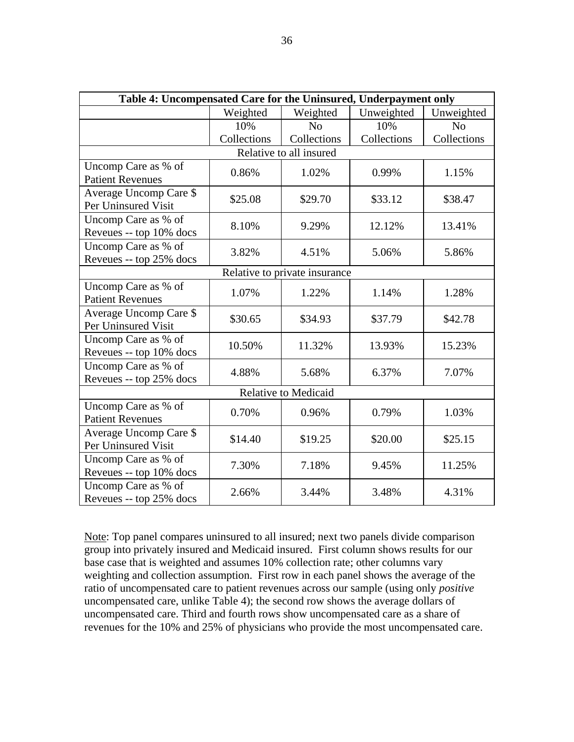| Table 4: Uncompensated Care for the Uninsured, Underpayment only |             |                                      |             |                |  |
|------------------------------------------------------------------|-------------|--------------------------------------|-------------|----------------|--|
|                                                                  | Weighted    | Unweighted<br>Weighted<br>Unweighted |             |                |  |
|                                                                  | 10%         | N <sub>o</sub>                       | 10%         | N <sub>o</sub> |  |
|                                                                  | Collections | Collections                          | Collections | Collections    |  |
|                                                                  |             | Relative to all insured              |             |                |  |
| Uncomp Care as % of<br><b>Patient Revenues</b>                   | 0.86%       | 1.02%                                | 0.99%       | 1.15%          |  |
| Average Uncomp Care \$<br>Per Uninsured Visit                    | \$25.08     | \$29.70                              | \$33.12     | \$38.47        |  |
| Uncomp Care as % of<br>Reveues -- top 10% docs                   | 8.10%       | 9.29%                                | 12.12%      | 13.41%         |  |
| Uncomp Care as % of<br>Reveues -- top 25% docs                   | 3.82%       | 4.51%                                | 5.06%       | 5.86%          |  |
|                                                                  |             | Relative to private insurance        |             |                |  |
| Uncomp Care as % of<br><b>Patient Revenues</b>                   | 1.07%       | 1.22%                                | 1.14%       | 1.28%          |  |
| Average Uncomp Care \$<br>Per Uninsured Visit                    | \$30.65     | \$34.93                              | \$37.79     | \$42.78        |  |
| Uncomp Care as % of<br>Reveues -- top 10% docs                   | 10.50%      | 11.32%                               | 13.93%      | 15.23%         |  |
| Uncomp Care as % of<br>Reveues -- top 25% docs                   | 4.88%       | 5.68%                                | 6.37%       | 7.07%          |  |
| Relative to Medicaid                                             |             |                                      |             |                |  |
| Uncomp Care as % of<br><b>Patient Revenues</b>                   | 0.70%       | 0.96%                                | 0.79%       | 1.03%          |  |
| Average Uncomp Care \$<br>Per Uninsured Visit                    | \$14.40     | \$19.25                              | \$20.00     | \$25.15        |  |
| Uncomp Care as % of<br>Reveues -- top 10% docs                   | 7.30%       | 7.18%                                | 9.45%       | 11.25%         |  |
| Uncomp Care as % of<br>Reveues -- top 25% docs                   | 2.66%       | 3.44%                                | 3.48%       | 4.31%          |  |

Note: Top panel compares uninsured to all insured; next two panels divide comparison group into privately insured and Medicaid insured. First column shows results for our base case that is weighted and assumes 10% collection rate; other columns vary weighting and collection assumption. First row in each panel shows the average of the ratio of uncompensated care to patient revenues across our sample (using only *positive* uncompensated care, unlike Table 4); the second row shows the average dollars of uncompensated care. Third and fourth rows show uncompensated care as a share of revenues for the 10% and 25% of physicians who provide the most uncompensated care.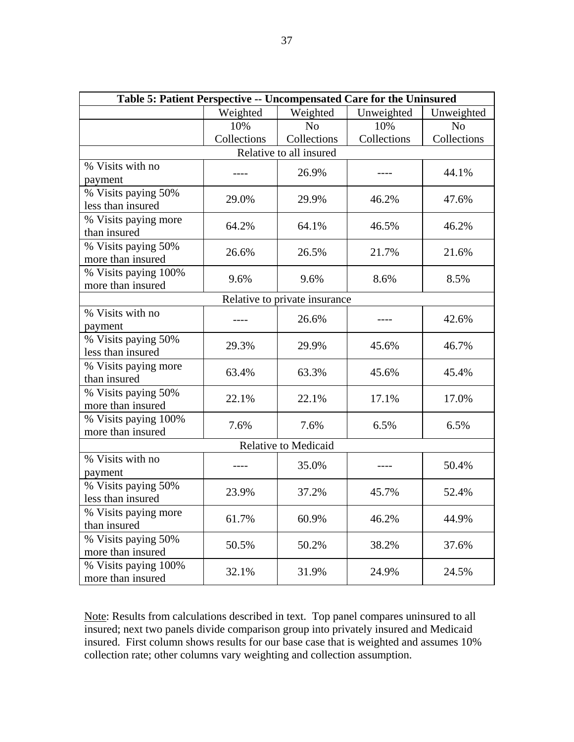| Table 5: Patient Perspective -- Uncompensated Care for the Uninsured |                                                  |                               |             |                |  |  |
|----------------------------------------------------------------------|--------------------------------------------------|-------------------------------|-------------|----------------|--|--|
|                                                                      | Weighted<br>Weighted<br>Unweighted<br>Unweighted |                               |             |                |  |  |
|                                                                      | 10%                                              | N <sub>o</sub>                | 10%         | N <sub>o</sub> |  |  |
|                                                                      | Collections                                      | Collections                   | Collections | Collections    |  |  |
|                                                                      |                                                  | Relative to all insured       |             |                |  |  |
| % Visits with no<br>payment                                          |                                                  | 26.9%                         |             | 44.1%          |  |  |
| % Visits paying 50%<br>less than insured                             | 29.0%                                            | 29.9%                         | 46.2%       | 47.6%          |  |  |
| % Visits paying more<br>than insured                                 | 64.2%                                            | 64.1%                         | 46.5%       | 46.2%          |  |  |
| % Visits paying 50%<br>more than insured                             | 26.6%                                            | 26.5%                         | 21.7%       | 21.6%          |  |  |
| % Visits paying 100%<br>more than insured                            | 9.6%                                             | 9.6%                          | 8.6%        | 8.5%           |  |  |
|                                                                      |                                                  | Relative to private insurance |             |                |  |  |
| % Visits with no<br>payment                                          |                                                  | 26.6%                         |             | 42.6%          |  |  |
| % Visits paying 50%<br>less than insured                             | 29.3%                                            | 29.9%                         | 45.6%       | 46.7%          |  |  |
| % Visits paying more<br>than insured                                 | 63.4%                                            | 63.3%                         | 45.6%       | 45.4%          |  |  |
| % Visits paying 50%<br>more than insured                             | 22.1%                                            | 22.1%                         | 17.1%       | 17.0%          |  |  |
| % Visits paying 100%<br>more than insured                            | 7.6%                                             | 7.6%                          | 6.5%        | 6.5%           |  |  |
| <b>Relative to Medicaid</b>                                          |                                                  |                               |             |                |  |  |
| % Visits with no<br>payment                                          |                                                  | 35.0%                         |             | 50.4%          |  |  |
| % Visits paying 50%<br>less than insured                             | 23.9%                                            | 37.2%                         | 45.7%       | 52.4%          |  |  |
| % Visits paying more<br>than insured                                 | 61.7%                                            | 60.9%                         | 46.2%       | 44.9%          |  |  |
| % Visits paying 50%<br>more than insured                             | 50.5%                                            | 50.2%                         | 38.2%       | 37.6%          |  |  |
| % Visits paying 100%<br>more than insured                            | 32.1%                                            | 31.9%                         | 24.9%       | 24.5%          |  |  |

Note: Results from calculations described in text. Top panel compares uninsured to all insured; next two panels divide comparison group into privately insured and Medicaid insured. First column shows results for our base case that is weighted and assumes 10% collection rate; other columns vary weighting and collection assumption.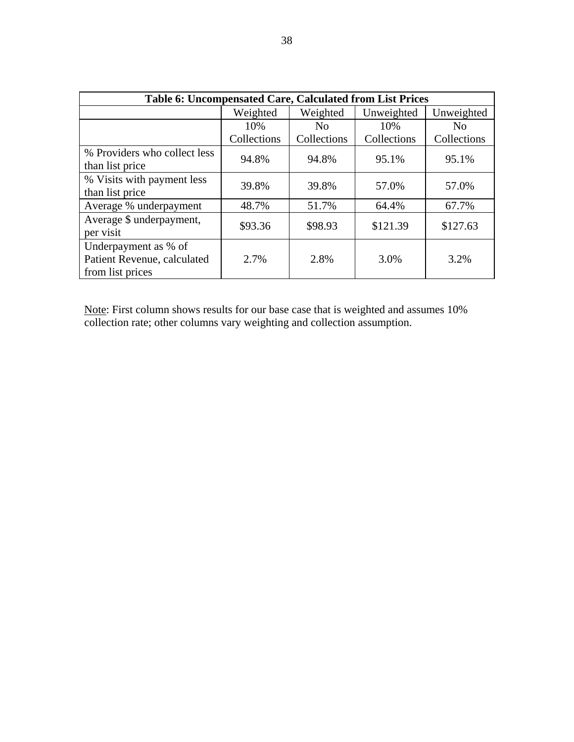| Table 6: Uncompensated Care, Calculated from List Prices                |             |                |             |             |  |
|-------------------------------------------------------------------------|-------------|----------------|-------------|-------------|--|
|                                                                         | Weighted    | Weighted       | Unweighted  | Unweighted  |  |
|                                                                         | 10%         | N <sub>0</sub> | 10%         |             |  |
|                                                                         | Collections | Collections    | Collections | Collections |  |
| % Providers who collect less<br>than list price                         | 94.8%       | 94.8%          | 95.1%       | 95.1%       |  |
| % Visits with payment less<br>than list price                           | 39.8%       | 39.8%          | 57.0%       | 57.0%       |  |
| Average % underpayment                                                  | 48.7%       | 51.7%          | 64.4%       | 67.7%       |  |
| Average \$ underpayment,<br>per visit                                   | \$93.36     | \$98.93        | \$121.39    | \$127.63    |  |
| Underpayment as % of<br>Patient Revenue, calculated<br>from list prices | 2.7%        | 2.8%           | 3.0%        | 3.2%        |  |

Note: First column shows results for our base case that is weighted and assumes 10% collection rate; other columns vary weighting and collection assumption.